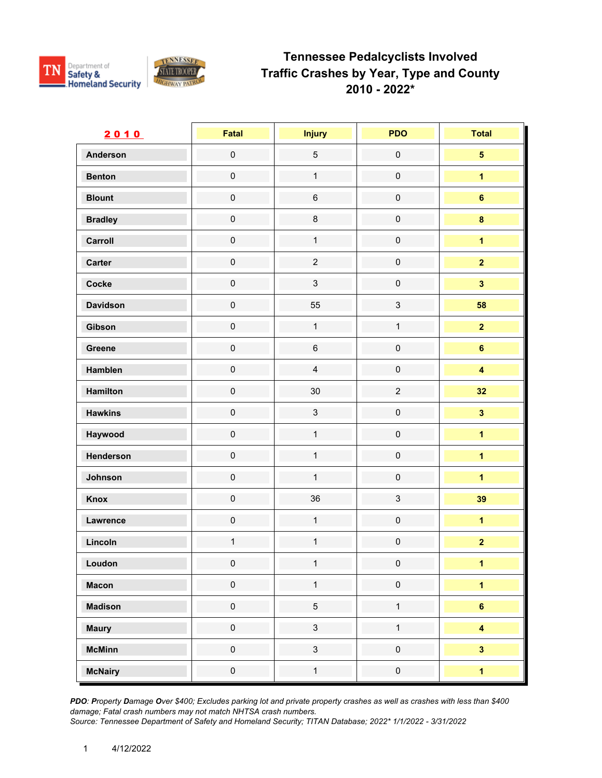



| 2010            | Fatal               | <b>Injury</b>  | <b>PDO</b>          | <b>Total</b>            |
|-----------------|---------------------|----------------|---------------------|-------------------------|
| <b>Anderson</b> | $\mathbf 0$         | $\sqrt{5}$     | $\mathbf 0$         | $\overline{\mathbf{5}}$ |
| <b>Benton</b>   | $\mathsf{O}\xspace$ | $\mathbf{1}$   | $\mathbf 0$         | $\overline{1}$          |
| <b>Blount</b>   | $\mathsf{O}\xspace$ | $\,6\,$        | $\mathbf 0$         | $\bf 6$                 |
| <b>Bradley</b>  | $\mathsf{O}\xspace$ | $\bf 8$        | $\mathbf 0$         | $\bf{8}$                |
| Carroll         | $\mathsf{O}\xspace$ | $\mathbf{1}$   | $\pmb{0}$           | $\overline{1}$          |
| Carter          | $\mathsf{O}\xspace$ | $\overline{2}$ | $\pmb{0}$           | $\overline{2}$          |
| Cocke           | $\mathsf{O}\xspace$ | $\mathfrak{S}$ | $\mathbf 0$         | $\overline{\mathbf{3}}$ |
| <b>Davidson</b> | $\mathbf 0$         | 55             | $\mathsf 3$         | 58                      |
| Gibson          | $\mathsf{O}\xspace$ | $\mathbf{1}$   | $\mathbf{1}$        | $\overline{2}$          |
| Greene          | $\pmb{0}$           | $\,6\,$        | $\mathbf 0$         | $6\phantom{a}$          |
| Hamblen         | $\mathsf{O}\xspace$ | $\overline{4}$ | $\mathsf{O}\xspace$ | $\overline{\mathbf{4}}$ |
| <b>Hamilton</b> | $\mathsf{O}\xspace$ | 30             | $\overline{c}$      | 32                      |
| <b>Hawkins</b>  | $\pmb{0}$           | $\mathbf{3}$   | $\pmb{0}$           | $\mathbf{3}$            |
| Haywood         | $\mathsf{O}\xspace$ | $\mathbf{1}$   | $\mathbf 0$         | $\overline{1}$          |
| Henderson       | $\mathbf 0$         | $\mathbf{1}$   | $\mathbf 0$         | $\overline{1}$          |
| Johnson         | $\mathbf 0$         | $\mathbf{1}$   | $\mathbf 0$         | $\overline{\mathbf{1}}$ |
| Knox            | $\mathsf{O}\xspace$ | 36             | $\mathfrak{S}$      | 39                      |
| Lawrence        | $\mathsf{O}\xspace$ | $\mathbf{1}$   | $\mathsf{O}\xspace$ | $\overline{1}$          |
| Lincoln         | $\mathbf 1$         | $\mathbf{1}$   | $\mathbf 0$         | $\mathbf{2}$            |
| Loudon          | $\pmb{0}$           | $\mathbf 1$    | $\pmb{0}$           | 1 <sup>1</sup>          |
| <b>Macon</b>    | $\mathbf 0$         | $\mathbf{1}$   | $\mathsf{O}\xspace$ | $\overline{\mathbf{1}}$ |
| <b>Madison</b>  | $\mathbf 0$         | $\overline{5}$ | $\mathbf{1}$        | $6\phantom{a}$          |
| <b>Maury</b>    | $\mathbf 0$         | $\mathbf{3}$   | $\mathbf{1}$        | $\overline{\mathbf{4}}$ |
| <b>McMinn</b>   | $\mathbf 0$         | $\mathbf{3}$   | $\mathsf{O}\xspace$ | $\overline{\mathbf{3}}$ |
| <b>McNairy</b>  | $\pmb{0}$           | $\mathbf{1}$   | $\mathbf 0$         | $\overline{\mathbf{1}}$ |

*PDO: Property Damage Over \$400; Excludes parking lot and private property crashes as well as crashes with less than \$400 damage; Fatal crash numbers may not match NHTSA crash numbers.*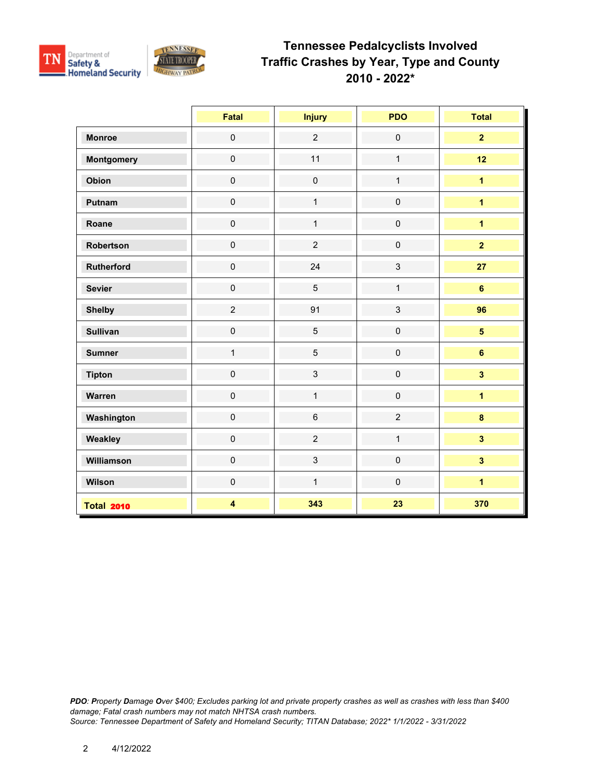

|                   | Fatal                   | <b>Injury</b>  | <b>PDO</b>     | <b>Total</b>            |
|-------------------|-------------------------|----------------|----------------|-------------------------|
| <b>Monroe</b>     | $\pmb{0}$               | $\overline{2}$ | $\mathbf 0$    | $\overline{2}$          |
| <b>Montgomery</b> | $\pmb{0}$               | 11             | $\mathbf{1}$   | 12                      |
| Obion             | $\pmb{0}$               | $\pmb{0}$      | $\mathbf{1}$   | $\overline{1}$          |
| Putnam            | $\pmb{0}$               | $\mathbf{1}$   | $\pmb{0}$      | $\overline{1}$          |
| Roane             | $\pmb{0}$               | $\mathbf{1}$   | $\mathbf 0$    | $\overline{\mathbf{1}}$ |
| Robertson         | $\mathsf{O}\xspace$     | $\overline{2}$ | $\pmb{0}$      | $\overline{2}$          |
| Rutherford        | $\mathsf{O}\xspace$     | 24             | $\mathbf{3}$   | 27                      |
| <b>Sevier</b>     | $\pmb{0}$               | $\overline{5}$ | $\mathbf{1}$   | $\bf 6$                 |
| <b>Shelby</b>     | $\overline{2}$          | 91             | $\mathbf{3}$   | 96                      |
| <b>Sullivan</b>   | $\pmb{0}$               | 5              | $\mathbf 0$    | $5\phantom{a}$          |
| <b>Sumner</b>     | $\mathbf{1}$            | $\overline{5}$ | $\mathbf 0$    | $6\phantom{a}$          |
| <b>Tipton</b>     | $\pmb{0}$               | $\mathbf{3}$   | $\pmb{0}$      | $\overline{\mathbf{3}}$ |
| Warren            | $\pmb{0}$               | $\mathbf{1}$   | $\pmb{0}$      | $\overline{1}$          |
| Washington        | $\pmb{0}$               | $6\phantom{a}$ | $\overline{2}$ | $\bf{8}$                |
| Weakley           | $\pmb{0}$               | $\overline{c}$ | $\mathbf{1}$   | $\overline{\mathbf{3}}$ |
| Williamson        | $\mathsf{O}\xspace$     | $\mathbf{3}$   | $\pmb{0}$      | $\overline{\mathbf{3}}$ |
| Wilson            | $\mathsf{O}\xspace$     | $\mathbf{1}$   | $\mathbf 0$    | $\overline{\mathbf{1}}$ |
| <b>Total 2010</b> | $\overline{\mathbf{4}}$ | 343            | 23             | 370                     |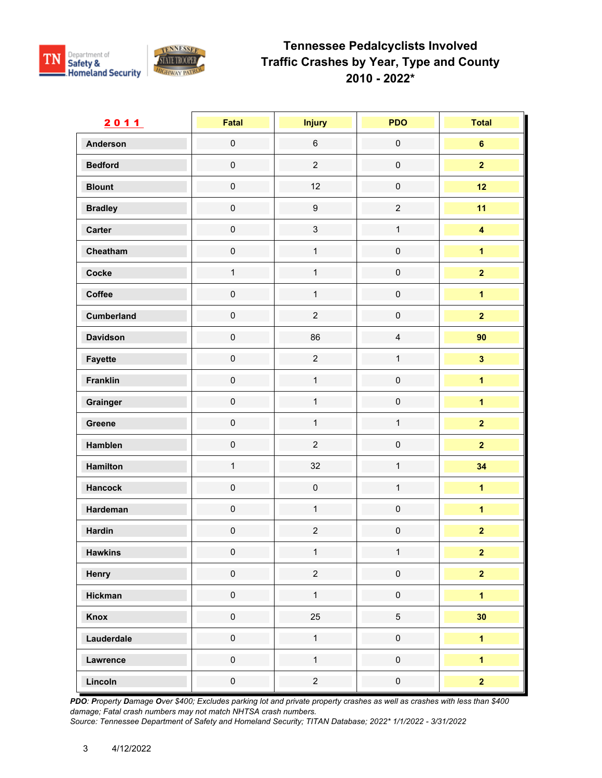

| 2011              | Fatal               | <b>Injury</b>       | <b>PDO</b>          | <b>Total</b>            |
|-------------------|---------------------|---------------------|---------------------|-------------------------|
| <b>Anderson</b>   | $\mathsf{O}\xspace$ | $\,6\,$             | $\mathsf{O}\xspace$ | $6\phantom{a}$          |
| <b>Bedford</b>    | $\mathsf{O}\xspace$ | $\overline{c}$      | $\mathsf{O}\xspace$ | $\overline{\mathbf{2}}$ |
| <b>Blount</b>     | $\mathsf{O}\xspace$ | 12                  | $\mathsf{O}\xspace$ | 12                      |
| <b>Bradley</b>    | $\mathsf{O}\xspace$ | $\boldsymbol{9}$    | $\overline{2}$      | 11                      |
| Carter            | $\mathsf{O}\xspace$ | $\mathbf{3}$        | $\mathbf{1}$        | $\overline{\mathbf{4}}$ |
| Cheatham          | $\pmb{0}$           | $\mathbf{1}$        | $\mathsf 0$         | $\overline{1}$          |
| Cocke             | $\mathbf{1}$        | $\mathbf{1}$        | $\mathsf{O}\xspace$ | $\overline{2}$          |
| Coffee            | $\mathsf{O}\xspace$ | $\mathbf{1}$        | $\mathsf{O}\xspace$ | $\overline{1}$          |
| <b>Cumberland</b> | $\pmb{0}$           | $\overline{2}$      | $\mathsf{O}\xspace$ | $\overline{2}$          |
| <b>Davidson</b>   | $\mathsf{O}\xspace$ | 86                  | $\overline{4}$      | 90                      |
| <b>Fayette</b>    | $\mathsf{O}\xspace$ | $\overline{2}$      | $\mathbf{1}$        | $\overline{\mathbf{3}}$ |
| <b>Franklin</b>   | $\pmb{0}$           | $\mathbf{1}$        | $\mathsf{O}\xspace$ | $\overline{\mathbf{1}}$ |
| Grainger          | $\mathsf{O}\xspace$ | $\mathbf{1}$        | $\mathsf{O}\xspace$ | $\overline{\mathbf{1}}$ |
| Greene            | $\pmb{0}$           | $\mathbf{1}$        | $\mathbf{1}$        | $\overline{\mathbf{2}}$ |
| Hamblen           | $\mathsf{O}\xspace$ | $\overline{c}$      | $\mathsf 0$         | $\overline{2}$          |
| Hamilton          | $\mathbf{1}$        | 32                  | $\mathbf{1}$        | 34                      |
| <b>Hancock</b>    | $\mathsf{O}\xspace$ | $\mathsf{O}\xspace$ | $\mathbf{1}$        | $\overline{1}$          |
| Hardeman          | $\mathsf{O}\xspace$ | $\mathbf{1}$        | $\mathsf{O}\xspace$ | $\overline{\mathbf{1}}$ |
| <b>Hardin</b>     | $\mathsf{O}\xspace$ | $\overline{c}$      | $\mathsf{O}\xspace$ | $\overline{2}$          |
| <b>Hawkins</b>    | $\pmb{0}$           | $\mathbf{1}$        | $\mathbf{1}$        | $\overline{2}$          |
| Henry             | $\pmb{0}$           | $\overline{c}$      | $\pmb{0}$           | $\overline{2}$          |
| <b>Hickman</b>    | $\mathsf{O}\xspace$ | $\mathbf{1}$        | $\mathsf{O}\xspace$ | $\overline{\mathbf{1}}$ |
| <b>Knox</b>       | $\mathsf{O}\xspace$ | 25                  | 5                   | 30                      |
| Lauderdale        | $\pmb{0}$           | $\mathbf{1}$        | $\pmb{0}$           | $\overline{1}$          |
| Lawrence          | $\mathsf{O}\xspace$ | $\mathbf{1}$        | $\mathsf{O}\xspace$ | $\overline{\mathbf{1}}$ |
| Lincoln           | $\pmb{0}$           | $\overline{2}$      | $\mathsf{O}\xspace$ | $\overline{\mathbf{2}}$ |

*PDO: Property Damage Over \$400; Excludes parking lot and private property crashes as well as crashes with less than \$400 damage; Fatal crash numbers may not match NHTSA crash numbers.*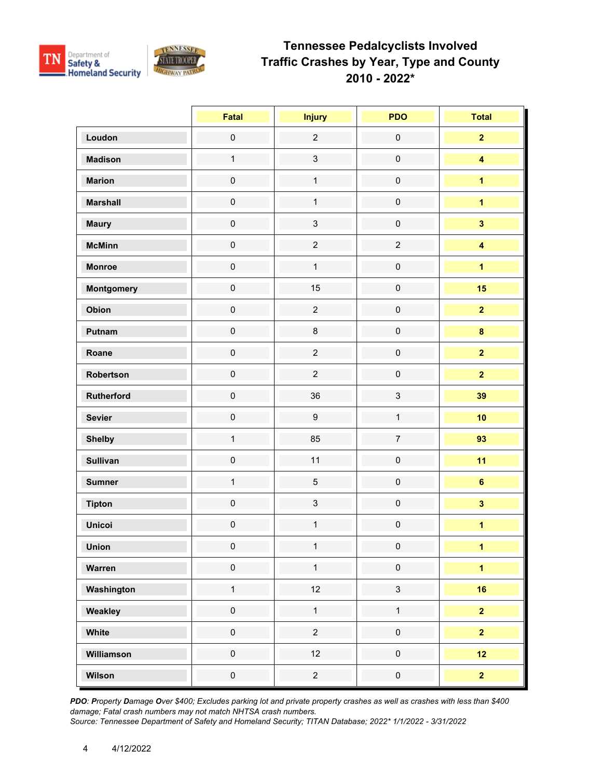

|                 | Fatal               | <b>Injury</b>    | <b>PDO</b>          | <b>Total</b>            |
|-----------------|---------------------|------------------|---------------------|-------------------------|
| Loudon          | $\mathbf 0$         | $\overline{2}$   | $\mathbf 0$         | $\overline{2}$          |
| <b>Madison</b>  | $\mathbf{1}$        | $\mathbf{3}$     | $\mathsf{O}\xspace$ | $\overline{\mathbf{4}}$ |
| <b>Marion</b>   | $\mathsf{O}\xspace$ | $\mathbf{1}$     | $\mathsf{O}\xspace$ | $\overline{\mathbf{1}}$ |
| <b>Marshall</b> | $\mathsf{O}\xspace$ | $\mathbf{1}$     | $\mathsf{O}\xspace$ | $\overline{\mathbf{1}}$ |
| <b>Maury</b>    | $\mathsf{O}\xspace$ | $\mathbf{3}$     | $\mathsf{O}\xspace$ | $\overline{\mathbf{3}}$ |
| <b>McMinn</b>   | $\mathsf{O}\xspace$ | $\overline{2}$   | $\overline{2}$      | $\overline{\mathbf{4}}$ |
| <b>Monroe</b>   | $\mathbf 0$         | $\mathbf{1}$     | $\mathbf 0$         | $\overline{1}$          |
| Montgomery      | $\mathsf{O}\xspace$ | 15               | $\mathsf 0$         | 15                      |
| Obion           | $\mathsf{O}\xspace$ | $\overline{2}$   | $\mathsf{O}\xspace$ | $\overline{2}$          |
| Putnam          | $\mathsf{O}\xspace$ | $\bf 8$          | $\mathsf{O}\xspace$ | $\bf{8}$                |
| Roane           | $\mathsf{O}\xspace$ | $\overline{2}$   | $\pmb{0}$           | $\overline{2}$          |
| Robertson       | $\mathsf{O}\xspace$ | $\overline{2}$   | $\pmb{0}$           | $\overline{2}$          |
| Rutherford      | $\mathbf 0$         | 36               | $\mathfrak{S}$      | 39                      |
| <b>Sevier</b>   | $\mathbf 0$         | $\boldsymbol{9}$ | $\mathbf{1}$        | 10                      |
| <b>Shelby</b>   | $\mathbf{1}$        | 85               | $\overline{7}$      | 93                      |
| <b>Sullivan</b> | $\mathsf{O}\xspace$ | 11               | $\mathsf{O}\xspace$ | 11                      |
| <b>Sumner</b>   | $\mathbf{1}$        | $\overline{5}$   | $\mathsf{O}\xspace$ | $6\phantom{a}$          |
| <b>Tipton</b>   | $\mathbf 0$         | $\mathbf{3}$     | $\mathbf 0$         | $\overline{\mathbf{3}}$ |
| <b>Unicoi</b>   | $\mathsf{O}\xspace$ | $\mathbf{1}$     | $\mathbf 0$         | $\overline{\mathbf{1}}$ |
| Union           | $\pmb{0}$           | $\mathbf{1}$     | $\pmb{0}$           | $\mathbf{1}$            |
| Warren          | $\pmb{0}$           | $\mathbf 1$      | $\mathsf{O}\xspace$ | $\overline{\mathbf{1}}$ |
| Washington      | $\mathbf{1}$        | 12               | $\mathbf{3}$        | 16                      |
| Weakley         | $\mathbf 0$         | $\mathbf{1}$     | $\mathbf{1}$        | $\overline{2}$          |
| White           | $\mathbf 0$         | $\overline{2}$   | $\mathsf{O}\xspace$ | $\overline{2}$          |
| Williamson      | $\mathsf{O}\xspace$ | 12               | $\mathsf{O}\xspace$ | 12                      |
| Wilson          | $\pmb{0}$           | $\overline{2}$   | $\pmb{0}$           | $\overline{\mathbf{2}}$ |

*PDO: Property Damage Over \$400; Excludes parking lot and private property crashes as well as crashes with less than \$400 damage; Fatal crash numbers may not match NHTSA crash numbers.*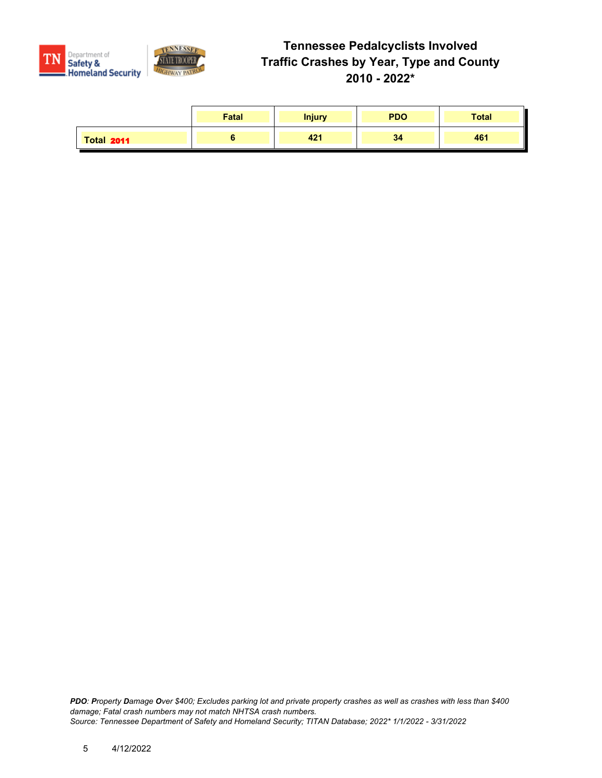

|                   | Fatal | <b>Injury</b> | <b>PDO</b> | <b>Total</b> |
|-------------------|-------|---------------|------------|--------------|
| <b>Total 2011</b> |       | 421           | 34         | 461          |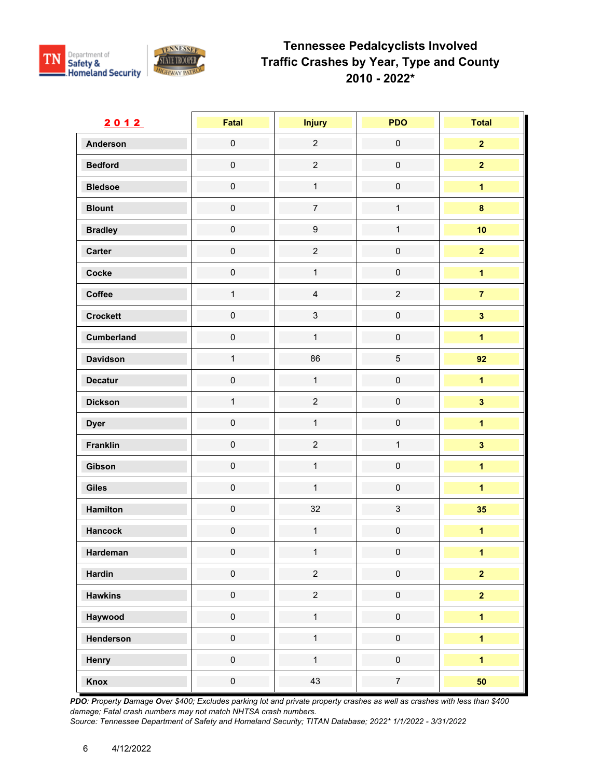

| 2012            | Fatal               | <b>Injury</b>    | <b>PDO</b>          | <b>Total</b>            |
|-----------------|---------------------|------------------|---------------------|-------------------------|
| <b>Anderson</b> | $\mathsf{O}\xspace$ | $\overline{2}$   | $\mathbf 0$         | $\overline{2}$          |
| <b>Bedford</b>  | $\mathsf{O}\xspace$ | $\overline{2}$   | $\pmb{0}$           | $\overline{\mathbf{2}}$ |
| <b>Bledsoe</b>  | $\mathsf{O}\xspace$ | $\mathbf{1}$     | $\mathbf 0$         | $\overline{\mathbf{1}}$ |
| <b>Blount</b>   | $\mathsf{O}\xspace$ | $\overline{7}$   | $\mathbf{1}$        | $\bf{8}$                |
| <b>Bradley</b>  | $\mathsf{O}\xspace$ | $\boldsymbol{9}$ | $\mathbf{1}$        | 10                      |
| Carter          | $\mathbf 0$         | $\overline{2}$   | $\mathbf 0$         | $\overline{2}$          |
| Cocke           | $\mathbf 0$         | $\mathbf{1}$     | $\mathsf 0$         | $\overline{\mathbf{1}}$ |
| Coffee          | $\mathbf{1}$        | $\overline{4}$   | $\overline{c}$      | $\mathbf{7}$            |
| <b>Crockett</b> | $\mathbf 0$         | $\mathfrak{S}$   | $\mathbf 0$         | $\mathbf{3}$            |
| Cumberland      | $\mathsf{O}\xspace$ | $\mathbf{1}$     | $\mathsf{O}\xspace$ | $\overline{1}$          |
| <b>Davidson</b> | $\mathbf{1}$        | 86               | $\overline{5}$      | 92                      |
| <b>Decatur</b>  | $\mathbf 0$         | $\mathbf{1}$     | $\mathbf 0$         | $\overline{1}$          |
| <b>Dickson</b>  | $\mathbf{1}$        | $\overline{2}$   | $\mathbf 0$         | $\overline{\mathbf{3}}$ |
| <b>Dyer</b>     | $\mathsf{O}\xspace$ | $\mathbf{1}$     | $\mathsf{O}\xspace$ | $\overline{1}$          |
| <b>Franklin</b> | $\mathbf 0$         | $\overline{2}$   | $\mathbf{1}$        | $\overline{\mathbf{3}}$ |
| Gibson          | $\mathsf{O}\xspace$ | $\mathbf{1}$     | $\pmb{0}$           | $\overline{1}$          |
| <b>Giles</b>    | $\mathsf{O}\xspace$ | $\mathbf{1}$     | $\mathsf{O}\xspace$ | $\overline{1}$          |
| Hamilton        | $\mathsf{O}\xspace$ | 32               | $\mathsf 3$         | 35                      |
| <b>Hancock</b>  | $\mathbf 0$         | $\mathbf{1}$     | $\pmb{0}$           | $\overline{\mathbf{1}}$ |
| Hardeman        | $\mathbf 0$         | $\mathbf{1}$     | $\pmb{0}$           | $\overline{1}$          |
| <b>Hardin</b>   | $\mathbf 0$         | $\overline{2}$   | $\mathsf 0$         | $\overline{2}$          |
| <b>Hawkins</b>  | $\mathsf{O}\xspace$ | $\overline{c}$   | $\mathsf{O}\xspace$ | $\overline{\mathbf{2}}$ |
| Haywood         | $\mathsf{O}\xspace$ | $\mathbf{1}$     | $\mathsf{O}\xspace$ | $\overline{1}$          |
| Henderson       | $\pmb{0}$           | $\mathbf{1}$     | $\pmb{0}$           | $\overline{1}$          |
| Henry           | $\mathsf{O}\xspace$ | $\mathbf{1}$     | $\mathsf{O}\xspace$ | $\overline{1}$          |
| Knox            | $\pmb{0}$           | 43               | $\overline{7}$      | 50                      |

*PDO: Property Damage Over \$400; Excludes parking lot and private property crashes as well as crashes with less than \$400 damage; Fatal crash numbers may not match NHTSA crash numbers.*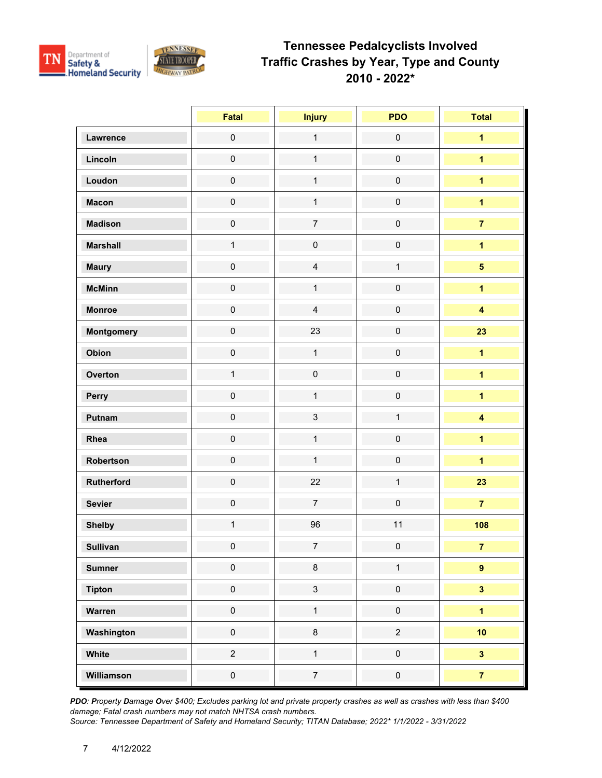

|                   | Fatal               | <b>Injury</b>       | <b>PDO</b>          | <b>Total</b>            |
|-------------------|---------------------|---------------------|---------------------|-------------------------|
| Lawrence          | $\pmb{0}$           | $\mathbf{1}$        | $\pmb{0}$           | $\overline{\mathbf{1}}$ |
| Lincoln           | $\mathbf 0$         | $\mathbf{1}$        | $\mathsf{O}\xspace$ | $\overline{\mathbf{1}}$ |
| Loudon            | $\mathbf 0$         | $\mathbf{1}$        | $\mathsf{O}\xspace$ | $\overline{1}$          |
| <b>Macon</b>      | $\pmb{0}$           | $\mathbf{1}$        | $\mathbf 0$         | $\blacksquare$          |
| <b>Madison</b>    | $\mathsf{O}\xspace$ | $\overline{7}$      | $\pmb{0}$           | $\overline{7}$          |
| <b>Marshall</b>   | $\mathbf{1}$        | $\mathsf{O}\xspace$ | $\mathbf 0$         | $\overline{\mathbf{1}}$ |
| <b>Maury</b>      | $\mathbf 0$         | $\overline{4}$      | $\mathbf{1}$        | $\overline{\mathbf{5}}$ |
| <b>McMinn</b>     | $\mathsf{O}\xspace$ | $\mathbf{1}$        | $\mathbf 0$         | $\overline{1}$          |
| <b>Monroe</b>     | $\mathsf{O}\xspace$ | $\overline{4}$      | $\mathbf 0$         | $\overline{\mathbf{4}}$ |
| <b>Montgomery</b> | $\mathsf{O}\xspace$ | 23                  | $\pmb{0}$           | 23                      |
| Obion             | $\mathsf{O}\xspace$ | $\mathbf{1}$        | $\pmb{0}$           | $\overline{1}$          |
| Overton           | $\mathbf{1}$        | $\mathsf{O}\xspace$ | $\mathbf 0$         | $\overline{1}$          |
| Perry             | $\mathbf 0$         | $\mathbf{1}$        | $\mathbf 0$         | $\overline{1}$          |
| Putnam            | $\mathbf 0$         | $\mathbf{3}$        | $\mathbf 1$         | $\overline{\mathbf{4}}$ |
| Rhea              | $\mathsf{O}\xspace$ | $\mathbf{1}$        | $\mathbf 0$         | $\overline{1}$          |
| Robertson         | $\mathsf{O}\xspace$ | $\mathbf{1}$        | $\mathsf{O}\xspace$ | $\overline{1}$          |
| Rutherford        | $\mathsf{O}\xspace$ | 22                  | $\mathbf{1}$        | 23                      |
| <b>Sevier</b>     | $\mathsf{O}\xspace$ | $\overline{7}$      | $\mathbf 0$         | $\overline{7}$          |
| <b>Shelby</b>     | $\mathbf{1}$        | 96                  | 11                  | 108                     |
| <b>Sullivan</b>   | $\pmb{0}$           | 7 <sup>7</sup>      | $\pmb{0}$           | 7 <sup>7</sup>          |
| <b>Sumner</b>     | $\pmb{0}$           | $\bf 8$             | $\mathbf{1}$        | $\pmb{9}$               |
| <b>Tipton</b>     | $\mathbf 0$         | $\mathbf{3}$        | $\mathsf{O}\xspace$ | $\overline{\mathbf{3}}$ |
| Warren            | $\pmb{0}$           | $\mathbf{1}$        | $\mathbf 0$         | $\overline{1}$          |
| Washington        | $\pmb{0}$           | $\bf 8$             | $\overline{2}$      | 10                      |
| White             | $\overline{2}$      | $\mathbf{1}$        | $\mathsf{O}\xspace$ | $\overline{\mathbf{3}}$ |
| Williamson        | $\mathbf 0$         | $\overline{7}$      | $\pmb{0}$           | $\overline{7}$          |

*PDO: Property Damage Over \$400; Excludes parking lot and private property crashes as well as crashes with less than \$400 damage; Fatal crash numbers may not match NHTSA crash numbers.*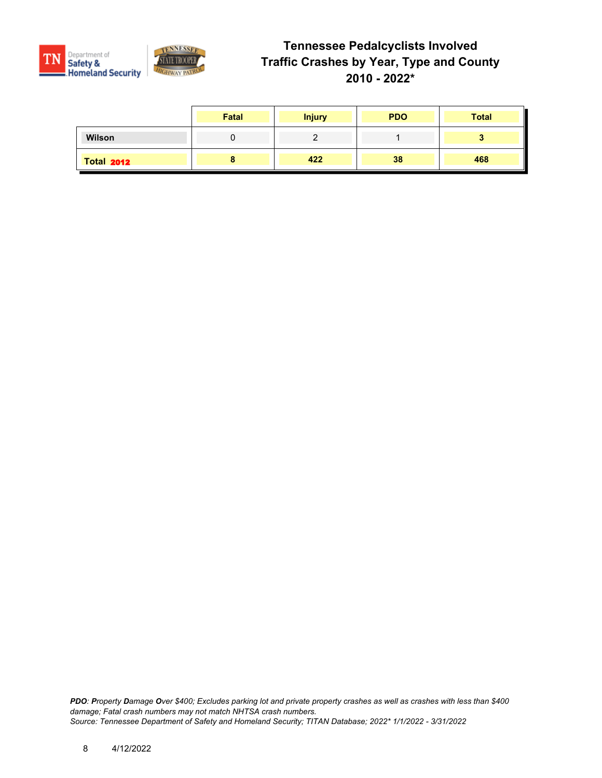

|                   | Fatal | <b>Injury</b> | <b>PDO</b> | <b>Total</b> |
|-------------------|-------|---------------|------------|--------------|
| Wilson            |       |               |            |              |
| <b>Total 2012</b> |       | 422           | 38         | 468          |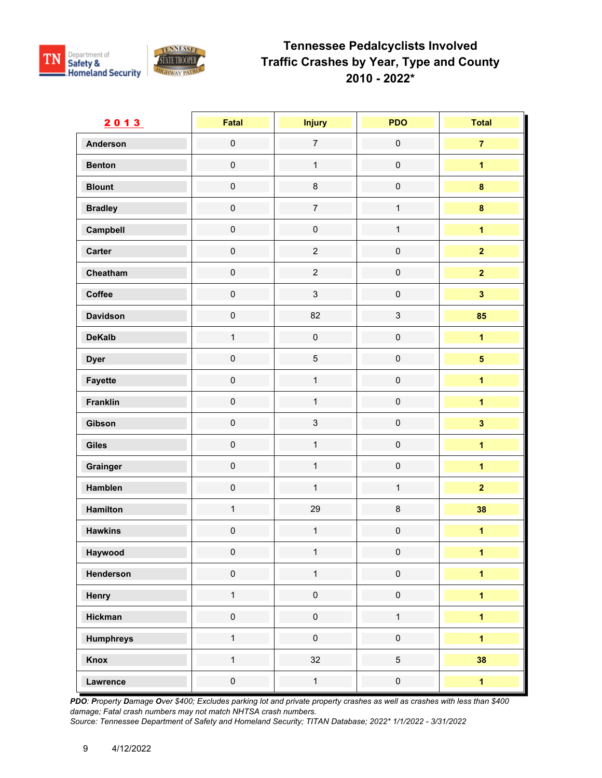

| 2013             | <b>Fatal</b>        | <b>Injury</b>  | <b>PDO</b>          | <b>Total</b>            |
|------------------|---------------------|----------------|---------------------|-------------------------|
| <b>Anderson</b>  | $\mathsf{O}\xspace$ | $\overline{7}$ | $\mathbf 0$         | $\overline{7}$          |
| <b>Benton</b>    | $\mathsf{O}\xspace$ | $\mathbf 1$    | $\mathsf 0$         | $\overline{1}$          |
| <b>Blount</b>    | $\mathbf 0$         | $\bf 8$        | $\pmb{0}$           | $\bf{8}$                |
| <b>Bradley</b>   | $\mathsf{O}\xspace$ | $\overline{7}$ | $\mathbf{1}$        | $\bf{8}$                |
| Campbell         | $\mathsf{O}\xspace$ | $\mathbf 0$    | $\mathbf{1}$        | $\overline{1}$          |
| Carter           | $\mathbf 0$         | $\overline{2}$ | $\mathbf 0$         | $\overline{2}$          |
| Cheatham         | $\mathsf{O}\xspace$ | $\overline{2}$ | $\mathbf 0$         | $\overline{2}$          |
| Coffee           | $\mathsf{O}\xspace$ | $\mathfrak{S}$ | $\mathsf{O}\xspace$ | $\overline{\mathbf{3}}$ |
| <b>Davidson</b>  | $\mathsf{O}\xspace$ | 82             | $\sqrt{3}$          | 85                      |
| <b>DeKalb</b>    | $\mathbf{1}$        | $\mathbf 0$    | $\mathsf{O}\xspace$ | $\overline{1}$          |
| <b>Dyer</b>      | $\mathsf{O}\xspace$ | $\sqrt{5}$     | $\mathbf 0$         | $\overline{\mathbf{5}}$ |
| <b>Fayette</b>   | $\mathsf{O}\xspace$ | $\mathbf{1}$   | $\mathbf 0$         | $\overline{1}$          |
| <b>Franklin</b>  | $\mathsf{O}\xspace$ | $\mathbf{1}$   | $\mathbf 0$         | $\overline{\mathbf{1}}$ |
| Gibson           | $\mathbf 0$         | $\mathfrak{S}$ | $\mathsf{O}\xspace$ | $\overline{\mathbf{3}}$ |
| <b>Giles</b>     | $\mathsf{O}\xspace$ | $\mathbf{1}$   | $\mathsf 0$         | $\overline{\mathbf{1}}$ |
| Grainger         | $\mathsf{O}\xspace$ | $\mathbf{1}$   | $\pmb{0}$           | $\overline{1}$          |
| Hamblen          | $\mathsf{O}\xspace$ | $\mathbf{1}$   | $\mathbf{1}$        | $\overline{2}$          |
| Hamilton         | $\mathbf{1}$        | 29             | $\bf 8$             | 38                      |
| <b>Hawkins</b>   | $\mathbf 0$         | $\mathbf{1}$   | $\mathbf 0$         | $\overline{1}$          |
| Haywood          | $\pmb{0}$           | $\mathbf{1}$   | $\pmb{0}$           | $\mathbf{1}$            |
| Henderson        | $\mathbf 0$         | $\mathbf{1}$   | $\mathsf{O}\xspace$ | $\overline{1}$          |
| Henry            | $\mathbf{1}$        | $\pmb{0}$      | $\mathsf{O}\xspace$ | $\overline{1}$          |
| <b>Hickman</b>   | $\mathbf 0$         | $\pmb{0}$      | $\mathbf{1}$        | $\overline{\mathbf{1}}$ |
| <b>Humphreys</b> | $\mathbf{1}$        | $\pmb{0}$      | $\pmb{0}$           | $\overline{1}$          |
| Knox             | $\mathbf{1}$        | 32             | $\overline{5}$      | 38                      |
| Lawrence         | $\mathbf 0$         | $\mathbf{1}$   | $\mathsf{O}\xspace$ | $\overline{\mathbf{1}}$ |

*PDO: Property Damage Over \$400; Excludes parking lot and private property crashes as well as crashes with less than \$400 damage; Fatal crash numbers may not match NHTSA crash numbers.*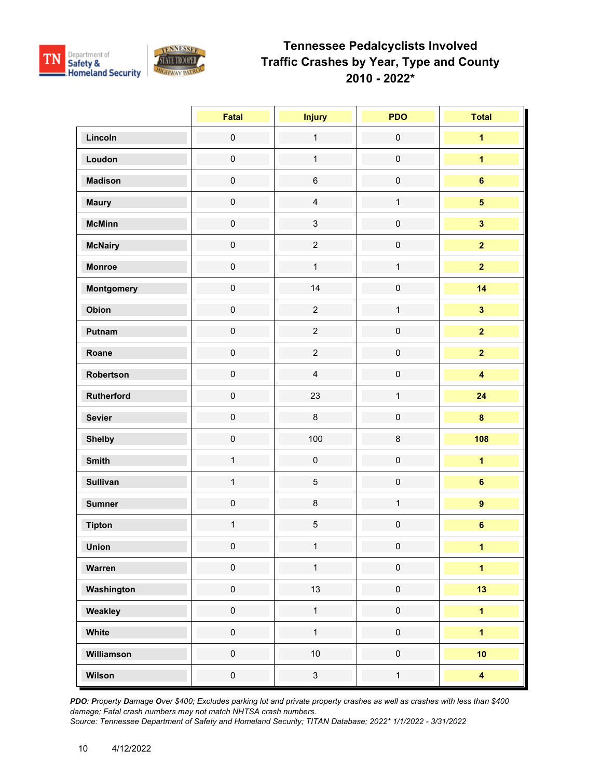

|                 | Fatal               | <b>Injury</b>  | <b>PDO</b>          | <b>Total</b>            |
|-----------------|---------------------|----------------|---------------------|-------------------------|
| Lincoln         | $\pmb{0}$           | $\mathbf{1}$   | $\mathsf{O}\xspace$ | $\overline{\mathbf{1}}$ |
| Loudon          | $\mathsf{O}\xspace$ | $\mathbf{1}$   | $\mathbf 0$         | $\overline{1}$          |
| <b>Madison</b>  | $\mathbf 0$         | $\,6$          | $\mathsf{O}\xspace$ | $6\phantom{a}$          |
| <b>Maury</b>    | $\mathsf{O}\xspace$ | $\overline{4}$ | $\mathbf{1}$        | 5 <sup>5</sup>          |
| <b>McMinn</b>   | $\mathbf 0$         | $\mathbf{3}$   | $\mathsf 0$         | $\overline{\mathbf{3}}$ |
| <b>McNairy</b>  | $\mathsf{O}\xspace$ | $\overline{2}$ | $\mathsf{O}\xspace$ | $\overline{2}$          |
| <b>Monroe</b>   | $\pmb{0}$           | $\mathbf{1}$   | $\mathbf{1}$        | $\overline{2}$          |
| Montgomery      | $\mathsf{O}\xspace$ | 14             | $\mathsf{O}\xspace$ | 14                      |
| Obion           | $\mathsf{O}\xspace$ | $\overline{2}$ | $\mathbf{1}$        | $\overline{\mathbf{3}}$ |
| Putnam          | $\mathsf{O}\xspace$ | $\overline{c}$ | $\mathbf 0$         | $\overline{2}$          |
| Roane           | $\mathsf{O}\xspace$ | $\overline{2}$ | $\mathsf 0$         | $\overline{2}$          |
| Robertson       | $\mathsf{O}\xspace$ | $\overline{4}$ | $\mathsf{O}\xspace$ | $\overline{\mathbf{4}}$ |
| Rutherford      | $\pmb{0}$           | 23             | $\mathbf{1}$        | 24                      |
| <b>Sevier</b>   | $\mathbf 0$         | 8              | $\mathsf{O}\xspace$ | $\bf{8}$                |
| <b>Shelby</b>   | $\pmb{0}$           | 100            | 8                   | 108                     |
| <b>Smith</b>    | $\mathbf{1}$        | $\pmb{0}$      | $\mathsf{O}\xspace$ | $\overline{1}$          |
| <b>Sullivan</b> | $\mathbf{1}$        | $\overline{5}$ | $\mathsf{O}\xspace$ | $6\phantom{a}$          |
| <b>Sumner</b>   | $\pmb{0}$           | 8              | $\mathbf{1}$        | $\overline{9}$          |
| <b>Tipton</b>   | $\mathbf{1}$        | $\sqrt{5}$     | $\mathsf{O}\xspace$ | $\bf 6$                 |
| <b>Union</b>    | $\pmb{0}$           | $\mathbf{1}$   | $\pmb{0}$           | $\mathbf 1$             |
| Warren          | $\mathbf 0$         | $\mathbf{1}$   | $\mathsf{O}\xspace$ | $\overline{\mathbf{1}}$ |
| Washington      | $\mathsf{O}\xspace$ | 13             | $\mathbf 0$         | 13                      |
| Weakley         | $\pmb{0}$           | $\mathbf{1}$   | $\mathsf{O}\xspace$ | $\overline{1}$          |
| White           | $\mathbf 0$         | $\mathbf{1}$   | $\mathsf{O}\xspace$ | $\overline{1}$          |
| Williamson      | $\pmb{0}$           | 10             | $\mathsf{O}\xspace$ | 10                      |
| Wilson          | $\mathbf 0$         | $\mathbf{3}$   | $\mathbf{1}$        | $\overline{\mathbf{4}}$ |

*PDO: Property Damage Over \$400; Excludes parking lot and private property crashes as well as crashes with less than \$400 damage; Fatal crash numbers may not match NHTSA crash numbers.*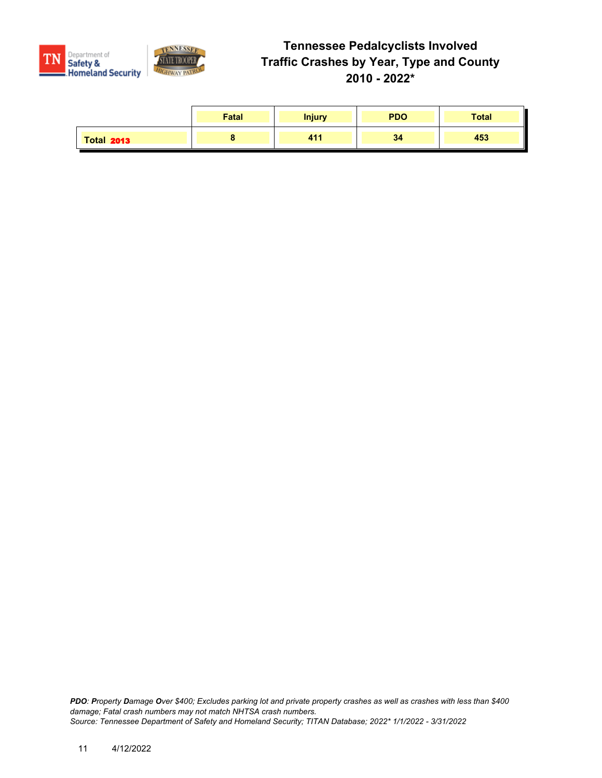

|                   | Fatal | <b>Injury</b> | <b>PDO</b> | <b>Total</b> |
|-------------------|-------|---------------|------------|--------------|
| <b>Total 2013</b> |       | 411           | 34         | 453          |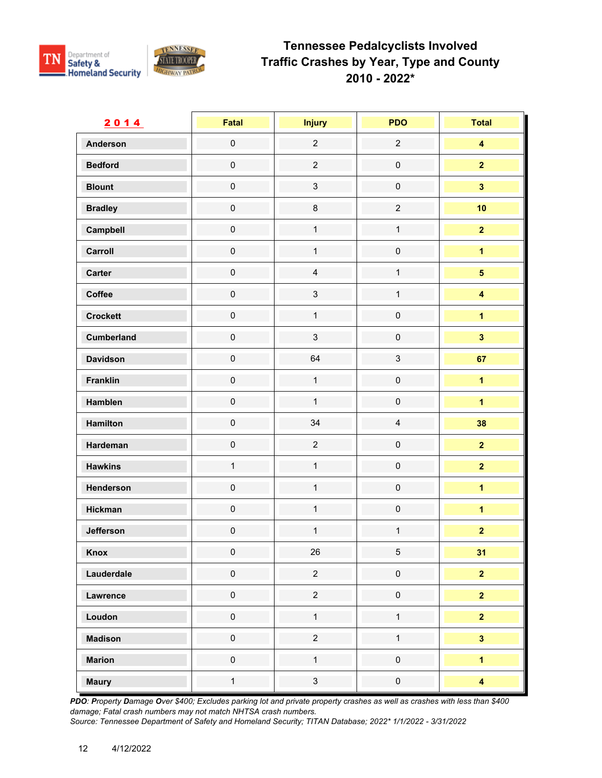

| 2014              | <b>Fatal</b>        | <b>Injury</b>  | <b>PDO</b>              | <b>Total</b>            |
|-------------------|---------------------|----------------|-------------------------|-------------------------|
| <b>Anderson</b>   | $\mathsf{O}\xspace$ | $\overline{2}$ | $\overline{c}$          | $\overline{\mathbf{4}}$ |
| <b>Bedford</b>    | $\mathsf{O}\xspace$ | $\overline{c}$ | $\pmb{0}$               | $\overline{\mathbf{2}}$ |
| <b>Blount</b>     | $\mathsf{O}\xspace$ | $\mathfrak{S}$ | $\pmb{0}$               | $\overline{\mathbf{3}}$ |
| <b>Bradley</b>    | $\mathsf{O}\xspace$ | $\bf 8$        | $\overline{c}$          | 10                      |
| Campbell          | $\mathsf{O}\xspace$ | $\mathbf{1}$   | $\mathbf{1}$            | $\overline{2}$          |
| Carroll           | $\mathsf{O}\xspace$ | $\mathbf{1}$   | $\pmb{0}$               | $\overline{\mathbf{1}}$ |
| Carter            | $\mathbf 0$         | $\overline{4}$ | $\mathbf{1}$            | $\overline{\mathbf{5}}$ |
| Coffee            | $\mathsf{O}\xspace$ | $\mathfrak{S}$ | $\mathbf{1}$            | $\overline{\mathbf{4}}$ |
| <b>Crockett</b>   | $\mathsf{O}\xspace$ | $\mathbf{1}$   | $\mathbf 0$             | $\overline{\mathbf{1}}$ |
| <b>Cumberland</b> | $\mathsf{O}\xspace$ | $\mathbf{3}$   | $\pmb{0}$               | $\overline{\mathbf{3}}$ |
| <b>Davidson</b>   | $\mathsf{O}\xspace$ | 64             | $\mathfrak{S}$          | 67                      |
| Franklin          | $\mathsf{O}\xspace$ | $\mathbf{1}$   | $\pmb{0}$               | $\overline{\mathbf{1}}$ |
| Hamblen           | $\mathsf{O}\xspace$ | $\mathbf{1}$   | $\pmb{0}$               | $\overline{1}$          |
| Hamilton          | $\mathsf{O}\xspace$ | 34             | $\overline{\mathbf{4}}$ | 38                      |
| Hardeman          | $\mathbf 0$         | $\overline{2}$ | $\mathbf 0$             | $\overline{2}$          |
| <b>Hawkins</b>    | $\mathbf{1}$        | $\mathbf{1}$   | $\pmb{0}$               | $\overline{2}$          |
| Henderson         | $\mathsf{O}\xspace$ | $\mathbf{1}$   | $\pmb{0}$               | $\mathbf{1}$            |
| <b>Hickman</b>    | $\mathsf{O}\xspace$ | $\mathbf{1}$   | $\mathbf 0$             | $\overline{\mathbf{1}}$ |
| Jefferson         | $\mathbf 0$         | $\mathbf{1}$   | $\mathbf{1}$            | $\overline{2}$          |
| Knox              | $\mathbf 0$         | 26             | 5                       | 31                      |
| Lauderdale        | $\mathbf 0$         | $\overline{c}$ | $\pmb{0}$               | $\overline{2}$          |
| Lawrence          | $\pmb{0}$           | $\overline{c}$ | $\mathsf{O}\xspace$     | $\overline{\mathbf{2}}$ |
| Loudon            | $\pmb{0}$           | $\mathbf{1}$   | $\mathbf{1}$            | $\overline{2}$          |
| <b>Madison</b>    | $\mathbf 0$         | $\overline{2}$ | $\mathbf{1}$            | $\overline{\mathbf{3}}$ |
| <b>Marion</b>     | $\mathbf 0$         | $\mathbf{1}$   | $\mathsf 0$             | $\overline{\mathbf{1}}$ |
| <b>Maury</b>      | $\mathbf{1}$        | $\mathbf{3}$   | $\mathsf{O}\xspace$     | $\overline{\mathbf{4}}$ |

*PDO: Property Damage Over \$400; Excludes parking lot and private property crashes as well as crashes with less than \$400 damage; Fatal crash numbers may not match NHTSA crash numbers.*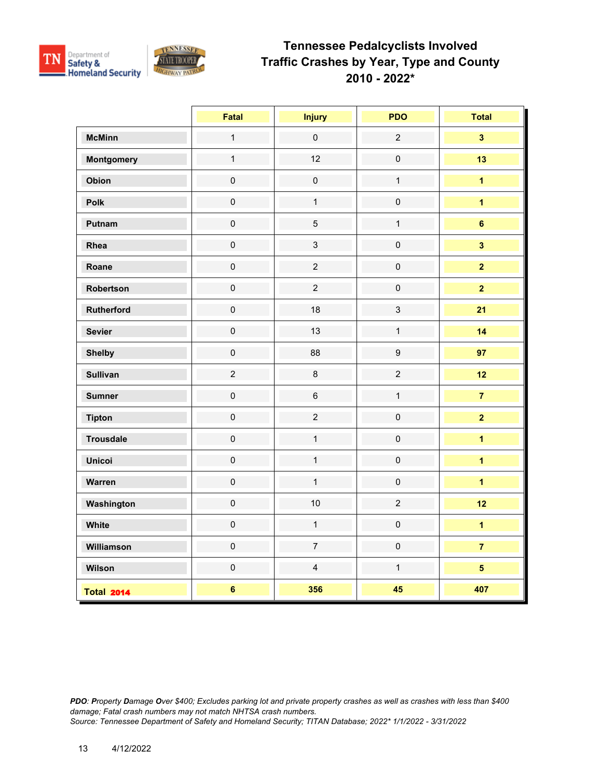

|                   | Fatal               | <b>Injury</b>       | <b>PDO</b>       | <b>Total</b>            |
|-------------------|---------------------|---------------------|------------------|-------------------------|
| <b>McMinn</b>     | $\mathbf{1}$        | $\mathsf{O}\xspace$ | $\overline{2}$   | $\overline{\mathbf{3}}$ |
| <b>Montgomery</b> | $\mathbf{1}$        | 12                  | $\pmb{0}$        | 13                      |
| Obion             | $\pmb{0}$           | $\pmb{0}$           | $\mathbf{1}$     | $\overline{\mathbf{1}}$ |
| Polk              | $\mathbf 0$         | $\mathbf{1}$        | $\pmb{0}$        | $\overline{1}$          |
| Putnam            | $\mathbf 0$         | $\overline{5}$      | $\mathbf{1}$     | $6\phantom{a}$          |
| Rhea              | $\mathsf{O}\xspace$ | $\mathbf{3}$        | $\pmb{0}$        | $\overline{\mathbf{3}}$ |
| Roane             | $\pmb{0}$           | $\overline{2}$      | $\pmb{0}$        | $\overline{\mathbf{2}}$ |
| Robertson         | $\pmb{0}$           | $\overline{2}$      | $\pmb{0}$        | $\overline{2}$          |
| <b>Rutherford</b> | $\mathsf{O}\xspace$ | 18                  | $\mathbf{3}$     | 21                      |
| <b>Sevier</b>     | $\mathsf{O}\xspace$ | 13                  | $\mathbf{1}$     | 14                      |
| <b>Shelby</b>     | $\pmb{0}$           | 88                  | $\boldsymbol{9}$ | 97                      |
| <b>Sullivan</b>   | $\mathbf 2$         | $\bf 8$             | $\overline{2}$   | 12                      |
| <b>Sumner</b>     | $\mathsf{O}\xspace$ | $\,6\,$             | $\mathbf{1}$     | $\overline{7}$          |
| <b>Tipton</b>     | $\mathsf{O}\xspace$ | $\overline{2}$      | $\pmb{0}$        | $\overline{2}$          |
| <b>Trousdale</b>  | $\mathbf 0$         | $\mathbf{1}$        | $\pmb{0}$        | $\overline{\mathbf{1}}$ |
| <b>Unicoi</b>     | $\pmb{0}$           | $\mathbf{1}$        | $\pmb{0}$        | $\overline{1}$          |
| Warren            | $\pmb{0}$           | $\mathbf{1}$        | $\pmb{0}$        | $\overline{1}$          |
| Washington        | $\mathbf 0$         | 10                  | $\overline{2}$   | 12                      |
| White             | $\mathbf 0$         | $\mathbf{1}$        | $\pmb{0}$        | $\overline{1}$          |
| Williamson        | $\pmb{0}$           | $\overline{7}$      | $\pmb{0}$        | $\overline{7}$          |
| Wilson            | $\pmb{0}$           | $\overline{4}$      | $\mathbf{1}$     | 5 <sup>5</sup>          |
| <b>Total 2014</b> | $\bf 6$             | 356                 | 45               | 407                     |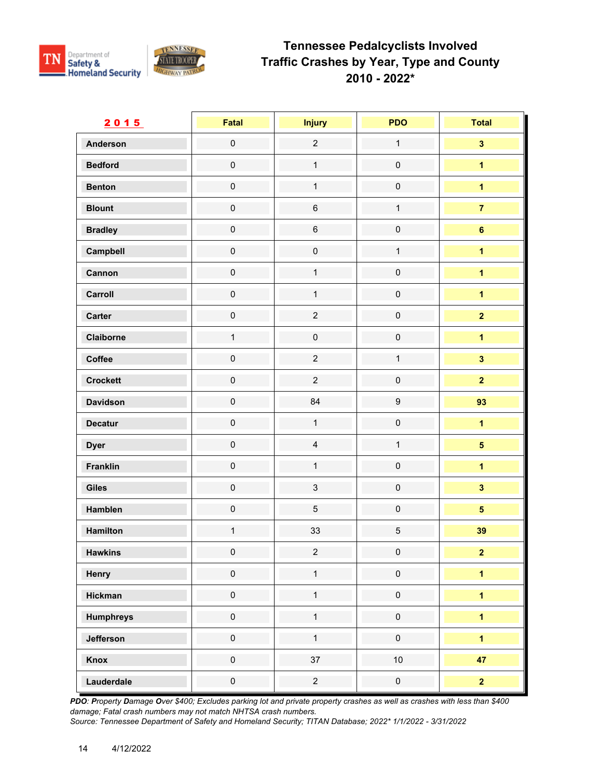

| 2015             | <b>Fatal</b>        | <b>Injury</b>       | <b>PDO</b>          | <b>Total</b>            |
|------------------|---------------------|---------------------|---------------------|-------------------------|
| <b>Anderson</b>  | $\mathsf{O}\xspace$ | $\overline{2}$      | $\mathbf{1}$        | $\overline{\mathbf{3}}$ |
| <b>Bedford</b>   | $\mathsf{O}\xspace$ | $\mathbf{1}$        | $\mathbf 0$         | $\overline{\mathbf{1}}$ |
| <b>Benton</b>    | $\mathsf{O}\xspace$ | $\mathbf{1}$        | $\mathbf 0$         | $\overline{\mathbf{1}}$ |
| <b>Blount</b>    | $\mathsf{O}\xspace$ | $\,6\,$             | $\mathbf{1}$        | $\overline{7}$          |
| <b>Bradley</b>   | $\mathsf{O}\xspace$ | $\,6\,$             | $\pmb{0}$           | $6\phantom{a}$          |
| Campbell         | $\mathbf 0$         | $\mathsf{O}\xspace$ | $\mathbf{1}$        | $\overline{1}$          |
| Cannon           | $\mathbf 0$         | $\mathbf{1}$        | $\mathsf{O}\xspace$ | $\overline{1}$          |
| Carroll          | $\mathbf 0$         | $\mathbf{1}$        | $\mathsf{O}\xspace$ | $\overline{\mathbf{1}}$ |
| Carter           | $\mathbf 0$         | $\overline{c}$      | $\mathbf 0$         | $\overline{2}$          |
| Claiborne        | $\mathbf{1}$        | $\pmb{0}$           | $\mathsf{O}\xspace$ | $\overline{1}$          |
| Coffee           | $\mathsf{O}\xspace$ | $\overline{2}$      | $\mathbf{1}$        | $\overline{\mathbf{3}}$ |
| <b>Crockett</b>  | $\mathbf 0$         | $\overline{2}$      | $\pmb{0}$           | $\overline{\mathbf{2}}$ |
| <b>Davidson</b>  | $\mathsf{O}\xspace$ | 84                  | $\boldsymbol{9}$    | 93                      |
| <b>Decatur</b>   | $\mathsf{O}\xspace$ | $\mathbf{1}$        | $\mathsf{O}\xspace$ | $\overline{1}$          |
| <b>Dyer</b>      | $\mathbf 0$         | $\overline{4}$      | $\mathbf{1}$        | $\overline{\mathbf{5}}$ |
| <b>Franklin</b>  | $\mathsf{O}\xspace$ | $\mathbf{1}$        | $\mathsf{O}\xspace$ | $\overline{1}$          |
| <b>Giles</b>     | $\mathsf{O}\xspace$ | $\mathbf{3}$        | $\mathsf{O}\xspace$ | $\overline{\mathbf{3}}$ |
| Hamblen          | $\mathsf{O}\xspace$ | 5                   | $\mathbf 0$         | $\overline{\mathbf{5}}$ |
| Hamilton         | $\mathbf{1}$        | 33                  | $\sqrt{5}$          | 39                      |
| <b>Hawkins</b>   | $\mathbf 0$         | $\overline{2}$      | $\pmb{0}$           | 2 <sup>1</sup>          |
| Henry            | $\mathbf 0$         | $\mathbf{1}$        | $\pmb{0}$           | $\overline{\mathbf{1}}$ |
| <b>Hickman</b>   | $\mathbf 0$         | $\mathbf{1}$        | $\mathsf{O}\xspace$ | $\overline{\mathbf{1}}$ |
| <b>Humphreys</b> | $\mathsf{O}\xspace$ | $\mathbf{1}$        | $\mathsf{O}\xspace$ | $\overline{1}$          |
| Jefferson        | $\mathsf{O}\xspace$ | $\mathbf{1}$        | $\pmb{0}$           | $\overline{1}$          |
| Knox             | $\mathsf{O}\xspace$ | 37                  | 10                  | 47                      |
| Lauderdale       | $\pmb{0}$           | $\overline{2}$      | $\mathsf{O}\xspace$ | $\overline{2}$          |

*PDO: Property Damage Over \$400; Excludes parking lot and private property crashes as well as crashes with less than \$400 damage; Fatal crash numbers may not match NHTSA crash numbers.*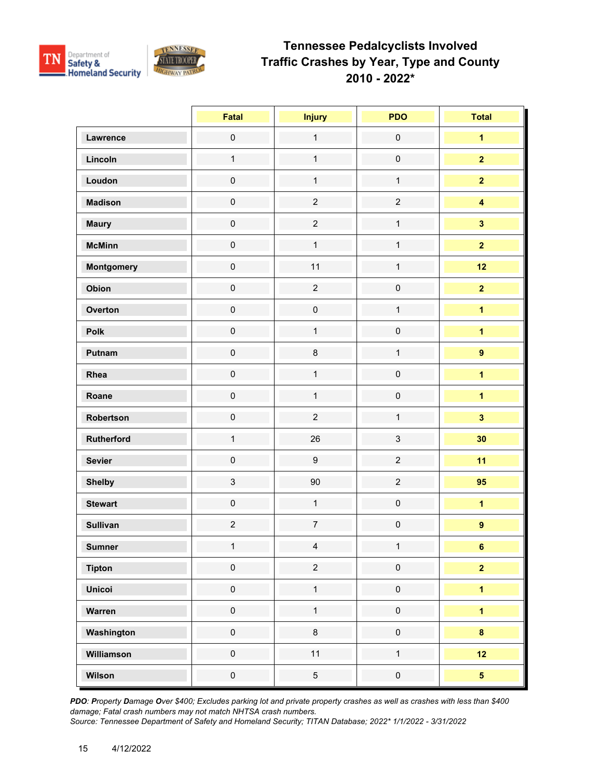

|                   | Fatal               | <b>Injury</b>       | <b>PDO</b>          | <b>Total</b>            |
|-------------------|---------------------|---------------------|---------------------|-------------------------|
| Lawrence          | $\mathsf{O}\xspace$ | $\mathbf{1}$        | $\mathsf{O}\xspace$ | $\overline{\mathbf{1}}$ |
| Lincoln           | $\mathbf{1}$        | $\mathbf{1}$        | $\mathbf 0$         | $\overline{2}$          |
| Loudon            | $\mathbf 0$         | $\mathbf{1}$        | $\mathbf{1}$        | $\overline{2}$          |
| <b>Madison</b>    | $\mathsf{O}\xspace$ | $\overline{c}$      | $\overline{2}$      | $\overline{\mathbf{4}}$ |
| <b>Maury</b>      | $\mathbf 0$         | $\overline{c}$      | $\mathbf{1}$        | $\overline{\mathbf{3}}$ |
| <b>McMinn</b>     | $\mathsf{O}\xspace$ | $\mathbf{1}$        | $\mathbf{1}$        | $\overline{2}$          |
| <b>Montgomery</b> | $\mathsf{O}\xspace$ | 11                  | $\mathbf{1}$        | 12                      |
| Obion             | $\mathbf 0$         | $\overline{c}$      | $\mathsf{O}\xspace$ | $\overline{2}$          |
| Overton           | $\mathbf 0$         | $\mathsf{O}\xspace$ | $\mathbf{1}$        | $\overline{1}$          |
| Polk              | $\mathsf{O}\xspace$ | $\mathbf{1}$        | $\mathsf 0$         | $\overline{\mathbf{1}}$ |
| Putnam            | $\mathsf{O}\xspace$ | $\bf 8$             | $\mathbf{1}$        | $\overline{9}$          |
| Rhea              | $\mathsf{O}\xspace$ | $\mathbf{1}$        | $\mathsf{O}\xspace$ | $\overline{1}$          |
| Roane             | $\pmb{0}$           | $\mathbf 1$         | $\mathsf 0$         | $\overline{1}$          |
| Robertson         | $\mathsf{O}\xspace$ | $\overline{c}$      | $\mathbf{1}$        | $\overline{\mathbf{3}}$ |
| Rutherford        | $\mathbf{1}$        | 26                  | 3                   | 30                      |
| <b>Sevier</b>     | $\mathbf 0$         | $\boldsymbol{9}$    | $\overline{2}$      | 11                      |
| <b>Shelby</b>     | $\mathfrak{S}$      | 90                  | $\overline{2}$      | 95                      |
| <b>Stewart</b>    | $\pmb{0}$           | $\mathbf{1}$        | $\mathsf 0$         | $\overline{\mathbf{1}}$ |
| <b>Sullivan</b>   | $\overline{c}$      | $\overline{7}$      | $\mathsf{O}\xspace$ | $\overline{9}$          |
| <b>Sumner</b>     | $\mathbf{1}$        | $\overline{4}$      | $\mathbf 1$         | 6 <sup>1</sup>          |
| <b>Tipton</b>     | $\mathbf 0$         | $\overline{2}$      | $\mathsf{O}\xspace$ | $\overline{\mathbf{2}}$ |
| <b>Unicoi</b>     | $\mathsf{O}\xspace$ | $\mathbf{1}$        | $\mathbf 0$         | $\overline{1}$          |
| Warren            | $\pmb{0}$           | $\mathbf{1}$        | $\mathsf{O}\xspace$ | $\overline{1}$          |
| Washington        | $\mathbf 0$         | $\bf 8$             | $\mathsf{O}\xspace$ | $\bf{8}$                |
| Williamson        | $\mathbf 0$         | 11                  | $\mathbf{1}$        | 12                      |
| Wilson            | $\mathbf 0$         | $\overline{5}$      | $\pmb{0}$           | 5 <sub>5</sub>          |

*PDO: Property Damage Over \$400; Excludes parking lot and private property crashes as well as crashes with less than \$400 damage; Fatal crash numbers may not match NHTSA crash numbers.*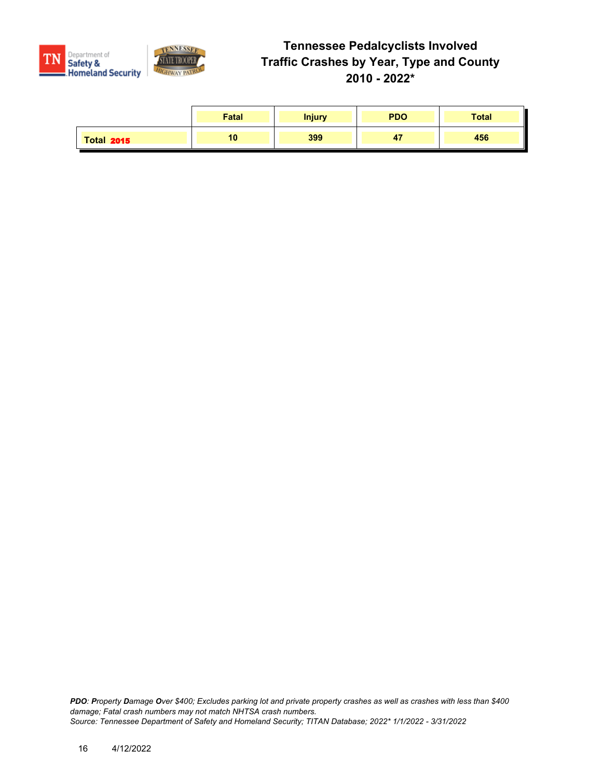

|                   | <b>Fatal</b> | <b>Injury</b> | <b>PDO</b> | <b>Total</b> |
|-------------------|--------------|---------------|------------|--------------|
| <b>Total 2015</b> | 10           | 399           | - 1        | 456          |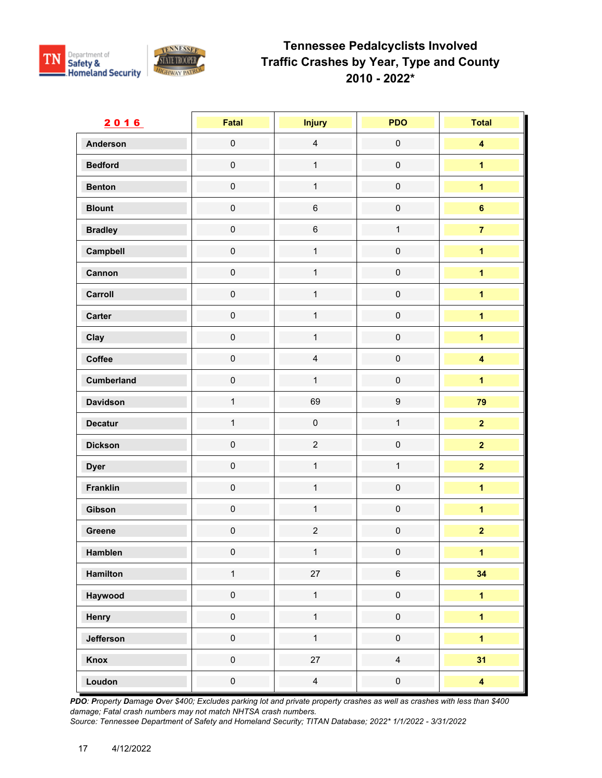

| 2016              | Fatal               | <b>Injury</b>       | <b>PDO</b>          | <b>Total</b>            |
|-------------------|---------------------|---------------------|---------------------|-------------------------|
| <b>Anderson</b>   | $\mathbf 0$         | $\overline{4}$      | $\mathsf{O}\xspace$ | $\overline{\mathbf{4}}$ |
| <b>Bedford</b>    | $\mathbf 0$         | $\mathbf{1}$        | $\mathsf{O}\xspace$ | $\overline{\mathbf{1}}$ |
| <b>Benton</b>     | $\mathbf 0$         | $\mathbf{1}$        | $\mathbf 0$         | $\overline{1}$          |
| <b>Blount</b>     | $\pmb{0}$           | $\,6\,$             | $\mathsf{O}\xspace$ | $6\phantom{a}$          |
| <b>Bradley</b>    | $\mathbf 0$         | $\,6\,$             | $\mathbf{1}$        | $\overline{7}$          |
| Campbell          | $\mathbf 0$         | $\mathbf{1}$        | $\mathsf{O}\xspace$ | $\overline{1}$          |
| Cannon            | $\pmb{0}$           | $\mathbf{1}$        | $\mathsf{O}\xspace$ | $\overline{\mathbf{1}}$ |
| Carroll           | $\pmb{0}$           | $\mathbf{1}$        | $\mathsf{O}\xspace$ | $\overline{1}$          |
| Carter            | $\pmb{0}$           | $\mathbf{1}$        | $\pmb{0}$           | $\overline{1}$          |
| Clay              | $\mathbf 0$         | $\mathbf{1}$        | $\mathsf{O}\xspace$ | $\overline{1}$          |
| Coffee            | $\mathbf 0$         | $\overline{4}$      | $\mathsf{O}\xspace$ | $\overline{\mathbf{4}}$ |
| <b>Cumberland</b> | $\pmb{0}$           | $\mathbf{1}$        | $\mathsf 0$         | $\overline{1}$          |
| <b>Davidson</b>   | $\mathbf{1}$        | 69                  | $\boldsymbol{9}$    | 79                      |
| <b>Decatur</b>    | $\mathbf{1}$        | $\mathsf{O}\xspace$ | $\mathbf{1}$        | $\overline{2}$          |
| <b>Dickson</b>    | $\pmb{0}$           | $\overline{2}$      | $\pmb{0}$           | $\overline{\mathbf{2}}$ |
| <b>Dyer</b>       | $\pmb{0}$           | $\mathbf{1}$        | $\mathbf{1}$        | $\overline{2}$          |
| <b>Franklin</b>   | $\mathbf 0$         | $\mathbf{1}$        | $\mathsf{O}\xspace$ | $\overline{1}$          |
| Gibson            | $\mathbf 0$         | $\mathbf{1}$        | $\pmb{0}$           | $\overline{\mathbf{1}}$ |
| Greene            | $\mathsf{O}\xspace$ | $\overline{c}$      | $\mathsf{O}\xspace$ | $\overline{\mathbf{2}}$ |
| Hamblen           | $\mathbf 0$         | $\mathbf{1}$        | $\mathbf 0$         | $\mathbf{1}$            |
| Hamilton          | $\mathbf{1}$        | $27\,$              | $\,6\,$             | 34                      |
| Haywood           | $\pmb{0}$           | $\mathbf{1}$        | $\mathbf 0$         | $\overline{\mathbf{1}}$ |
| Henry             | $\pmb{0}$           | $\mathbf{1}$        | $\pmb{0}$           | $\overline{1}$          |
| Jefferson         | $\pmb{0}$           | $\mathbf{1}$        | $\pmb{0}$           | $\overline{\mathbf{1}}$ |
| Knox              | $\pmb{0}$           | $27\,$              | $\overline{4}$      | 31                      |
| Loudon            | $\pmb{0}$           | $\overline{4}$      | $\pmb{0}$           | $\overline{\mathbf{4}}$ |

*PDO: Property Damage Over \$400; Excludes parking lot and private property crashes as well as crashes with less than \$400 damage; Fatal crash numbers may not match NHTSA crash numbers.*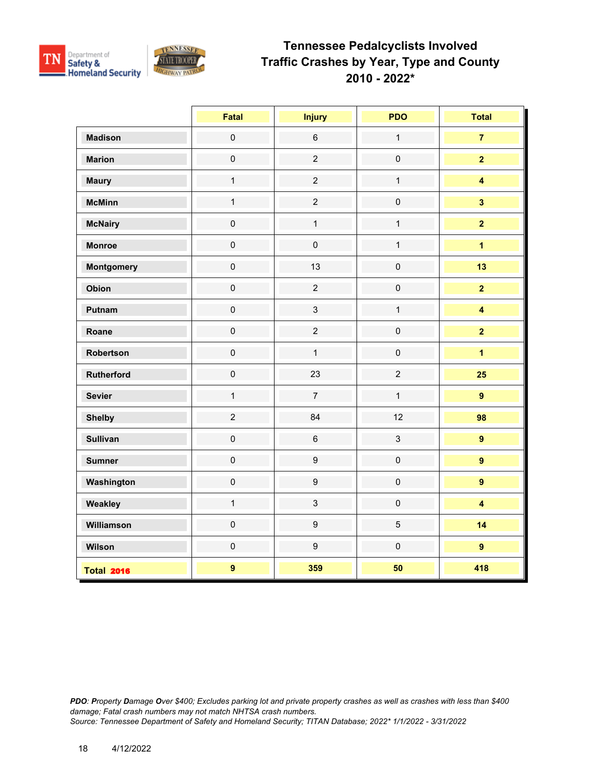

|                   | Fatal               | <b>Injury</b>    | <b>PDO</b>     | <b>Total</b>            |
|-------------------|---------------------|------------------|----------------|-------------------------|
| <b>Madison</b>    | $\mathsf{O}\xspace$ | $\,6\,$          | $\mathbf{1}$   | $\overline{7}$          |
| <b>Marion</b>     | $\mathsf{O}\xspace$ | $\overline{2}$   | $\pmb{0}$      | $\overline{2}$          |
| <b>Maury</b>      | $\mathbf{1}$        | $\overline{c}$   | $\mathbf{1}$   | $\overline{\mathbf{4}}$ |
| <b>McMinn</b>     | $\mathbf{1}$        | $\overline{2}$   | $\pmb{0}$      | $\overline{\mathbf{3}}$ |
| <b>McNairy</b>    | $\pmb{0}$           | $\mathbf{1}$     | $\mathbf{1}$   | $\overline{2}$          |
| <b>Monroe</b>     | $\mathbf 0$         | $\pmb{0}$        | $\mathbf{1}$   | $\overline{\mathbf{1}}$ |
| <b>Montgomery</b> | $\pmb{0}$           | 13               | $\pmb{0}$      | 13                      |
| Obion             | $\mathbf 0$         | $\overline{2}$   | $\pmb{0}$      | $\overline{2}$          |
| Putnam            | $\mathbf 0$         | $\mathbf{3}$     | $\mathbf{1}$   | $\overline{\mathbf{4}}$ |
| Roane             | $\mathbf 0$         | $\overline{2}$   | $\pmb{0}$      | $\overline{2}$          |
| Robertson         | $\mathsf{O}\xspace$ | $\mathbf{1}$     | $\pmb{0}$      | $\overline{1}$          |
| Rutherford        | $\mathbf 0$         | 23               | $\overline{2}$ | 25                      |
| <b>Sevier</b>     | $\mathbf{1}$        | $\overline{7}$   | $\mathbf{1}$   | $\overline{9}$          |
| <b>Shelby</b>     | $\overline{2}$      | 84               | 12             | 98                      |
| <b>Sullivan</b>   | $\mathbf 0$         | $\,6\,$          | $\mathbf{3}$   | $\overline{9}$          |
| <b>Sumner</b>     | $\pmb{0}$           | $\boldsymbol{9}$ | $\pmb{0}$      | $\overline{9}$          |
| Washington        | $\mathbf 0$         | $\boldsymbol{9}$ | $\pmb{0}$      | $\overline{9}$          |
| Weakley           | $\mathbf{1}$        | $\mathbf{3}$     | $\pmb{0}$      | $\overline{\mathbf{4}}$ |
| Williamson        | $\mathsf{O}\xspace$ | $\boldsymbol{9}$ | $\overline{5}$ | 14                      |
| Wilson            | $\pmb{0}$           | $\boldsymbol{9}$ | $\mathbf 0$    | $\overline{9}$          |
| <b>Total 2016</b> | $\mathbf{9}$        | 359              | 50             | 418                     |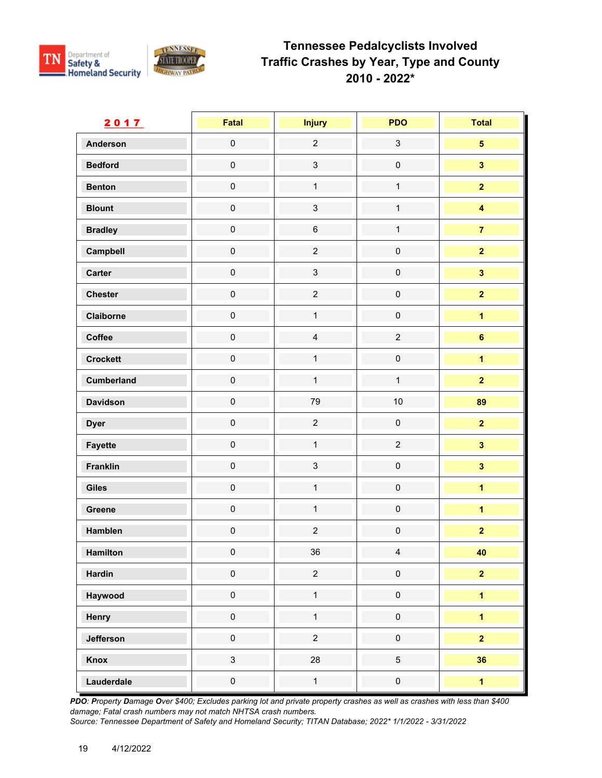

| 2017              | <b>Fatal</b>        | <b>Injury</b>  | <b>PDO</b>          | <b>Total</b>            |
|-------------------|---------------------|----------------|---------------------|-------------------------|
| <b>Anderson</b>   | $\mathsf{O}\xspace$ | $\overline{2}$ | $\mathfrak{S}$      | $\overline{\mathbf{5}}$ |
| <b>Bedford</b>    | $\mathsf{O}\xspace$ | $\mathbf{3}$   | $\mathbf 0$         | $\mathbf{3}$            |
| <b>Benton</b>     | $\mathsf{O}\xspace$ | $\mathbf{1}$   | $\mathbf{1}$        | $\overline{2}$          |
| <b>Blount</b>     | $\mathsf{O}\xspace$ | $\mathbf{3}$   | $\mathbf{1}$        | $\overline{\mathbf{4}}$ |
| <b>Bradley</b>    | $\mathsf{O}\xspace$ | $\,6\,$        | $\mathbf{1}$        | $\overline{7}$          |
| Campbell          | $\mathbf 0$         | $\overline{2}$ | $\mathbf 0$         | $\overline{2}$          |
| Carter            | $\mathbf 0$         | $\mathbf{3}$   | $\mathsf 0$         | $\overline{\mathbf{3}}$ |
| <b>Chester</b>    | $\mathbf 0$         | $\overline{2}$ | $\mathsf{O}\xspace$ | $\overline{\mathbf{2}}$ |
| Claiborne         | $\mathbf 0$         | $\mathbf{1}$   | $\mathsf{O}\xspace$ | $\overline{\mathbf{1}}$ |
| Coffee            | $\mathsf{O}\xspace$ | $\overline{4}$ | $\overline{2}$      | $6\phantom{a}$          |
| <b>Crockett</b>   | $\mathsf{O}\xspace$ | $\mathbf{1}$   | $\mathsf{O}\xspace$ | $\overline{1}$          |
| <b>Cumberland</b> | $\mathbf 0$         | $\mathbf{1}$   | $\mathbf{1}$        | $\overline{\mathbf{2}}$ |
| <b>Davidson</b>   | $\mathsf{O}\xspace$ | 79             | 10                  | 89                      |
| <b>Dyer</b>       | $\mathsf{O}\xspace$ | $\overline{2}$ | $\mathsf{O}\xspace$ | $\overline{2}$          |
| <b>Fayette</b>    | $\mathbf 0$         | $\mathbf{1}$   | $\overline{c}$      | $\overline{\mathbf{3}}$ |
| <b>Franklin</b>   | $\mathsf{O}\xspace$ | $\mathbf{3}$   | $\mathsf{O}\xspace$ | $\overline{\mathbf{3}}$ |
| <b>Giles</b>      | $\mathsf{O}\xspace$ | $\mathbf{1}$   | $\mathsf{O}\xspace$ | $\overline{1}$          |
| Greene            | $\mathsf{O}\xspace$ | $\mathbf{1}$   | $\mathbf 0$         | $\mathbf{1}$            |
| Hamblen           | $\mathbf 0$         | $\overline{c}$ | $\mathbf 0$         | $\overline{\mathbf{2}}$ |
| Hamilton          | $\mathbf 0$         | 36             | $\overline{4}$      | 40                      |
| <b>Hardin</b>     | $\mathbf 0$         | $\overline{2}$ | $\mathsf 0$         | $\overline{2}$          |
| Haywood           | $\mathbf 0$         | $\mathbf{1}$   | $\mathsf 0$         | $\blacksquare$          |
| Henry             | $\mathbf 0$         | $\mathbf{1}$   | $\mathbf 0$         | $\overline{1}$          |
| Jefferson         | $\pmb{0}$           | $\overline{2}$ | $\mathbf 0$         | $\overline{2}$          |
| Knox              | $\mathbf{3}$        | 28             | $\overline{5}$      | 36                      |
| Lauderdale        | $\mathbf 0$         | $\mathbf{1}$   | $\mathsf{O}\xspace$ | $\overline{\mathbf{1}}$ |

*PDO: Property Damage Over \$400; Excludes parking lot and private property crashes as well as crashes with less than \$400 damage; Fatal crash numbers may not match NHTSA crash numbers.*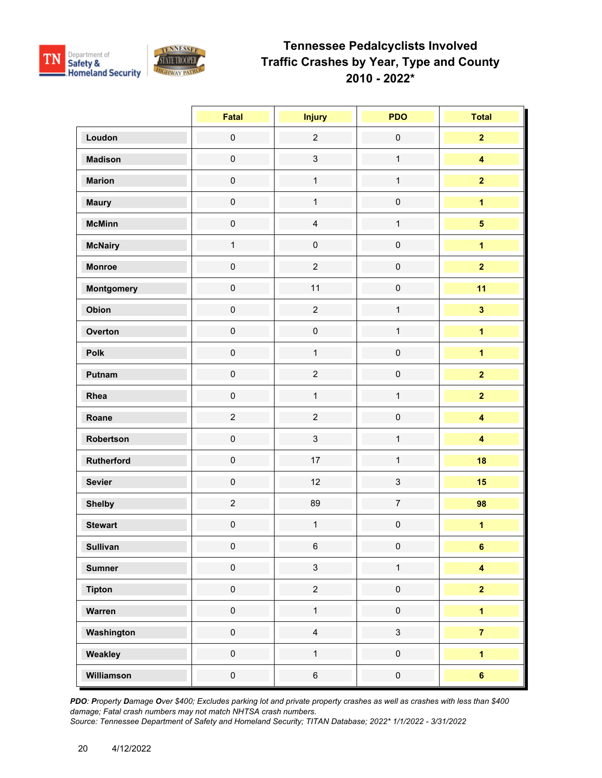

|                 | Fatal               | <b>Injury</b>       | <b>PDO</b>          | <b>Total</b>            |
|-----------------|---------------------|---------------------|---------------------|-------------------------|
| Loudon          | $\pmb{0}$           | $\overline{2}$      | $\mathbf 0$         | $\overline{2}$          |
| <b>Madison</b>  | $\mathsf{O}\xspace$ | $\mathbf{3}$        | $\mathbf{1}$        | $\overline{\mathbf{4}}$ |
| <b>Marion</b>   | $\mathsf{O}\xspace$ | $\mathbf{1}$        | $\mathbf{1}$        | $\overline{2}$          |
| <b>Maury</b>    | $\mathsf{O}\xspace$ | $\mathbf 1$         | $\pmb{0}$           | $\overline{\mathbf{1}}$ |
| <b>McMinn</b>   | $\mathsf{O}\xspace$ | $\overline{4}$      | $\mathbf{1}$        | $\overline{\mathbf{5}}$ |
| <b>McNairy</b>  | $\mathbf{1}$        | $\mathsf{O}\xspace$ | $\mathbf 0$         | $\overline{1}$          |
| <b>Monroe</b>   | $\mathbf 0$         | $\overline{c}$      | $\mathbf 0$         | $\overline{2}$          |
| Montgomery      | $\mathbf 0$         | 11                  | $\mathbf 0$         | 11                      |
| Obion           | $\mathsf{O}\xspace$ | $\overline{2}$      | $\mathbf{1}$        | $\overline{\mathbf{3}}$ |
| Overton         | $\mathsf{O}\xspace$ | $\mathsf{O}\xspace$ | $\mathbf{1}$        | $\overline{\mathbf{1}}$ |
| Polk            | $\mathsf{O}\xspace$ | $\mathbf{1}$        | $\pmb{0}$           | $\overline{1}$          |
| Putnam          | $\mathsf{O}\xspace$ | $\overline{2}$      | $\mathbf 0$         | $\overline{2}$          |
| Rhea            | $\mathbf 0$         | $\mathbf{1}$        | $\mathbf{1}$        | $\overline{2}$          |
| Roane           | $\overline{c}$      | $\overline{2}$      | $\mathsf{O}\xspace$ | $\overline{\mathbf{4}}$ |
| Robertson       | $\mathbf 0$         | $\mathfrak{S}$      | $\mathbf{1}$        | $\overline{\mathbf{4}}$ |
| Rutherford      | $\mathsf{O}\xspace$ | 17                  | $\mathbf{1}$        | 18                      |
| <b>Sevier</b>   | $\mathsf{O}\xspace$ | 12                  | $\mathfrak{S}$      | 15                      |
| <b>Shelby</b>   | $\overline{c}$      | 89                  | $\overline{7}$      | 98                      |
| <b>Stewart</b>  | $\mathbf 0$         | $\mathbf{1}$        | $\mathbf 0$         | $\overline{1}$          |
| <b>Sullivan</b> | $\mathsf{O}\xspace$ | $\,6\,$             | $\pmb{0}$           | $6\overline{6}$         |
| <b>Sumner</b>   | $\pmb{0}$           | $\mathbf{3}$        | $\mathbf{1}$        | $\overline{\mathbf{4}}$ |
| <b>Tipton</b>   | $\mathsf{O}\xspace$ | $\overline{2}$      | $\mathsf 0$         | $\overline{2}$          |
| Warren          | $\mathsf{O}\xspace$ | $\mathbf{1}$        | $\mathsf{O}\xspace$ | $\overline{\mathbf{1}}$ |
| Washington      | $\mathbf 0$         | $\overline{4}$      | $\mathfrak{S}$      | $\overline{7}$          |
| Weakley         | $\mathsf{O}\xspace$ | $\mathbf{1}$        | $\mathsf{O}\xspace$ | $\overline{1}$          |
| Williamson      | $\mathbf 0$         | $\,6\,$             | $\pmb{0}$           | $6\phantom{a}$          |

*PDO: Property Damage Over \$400; Excludes parking lot and private property crashes as well as crashes with less than \$400 damage; Fatal crash numbers may not match NHTSA crash numbers.*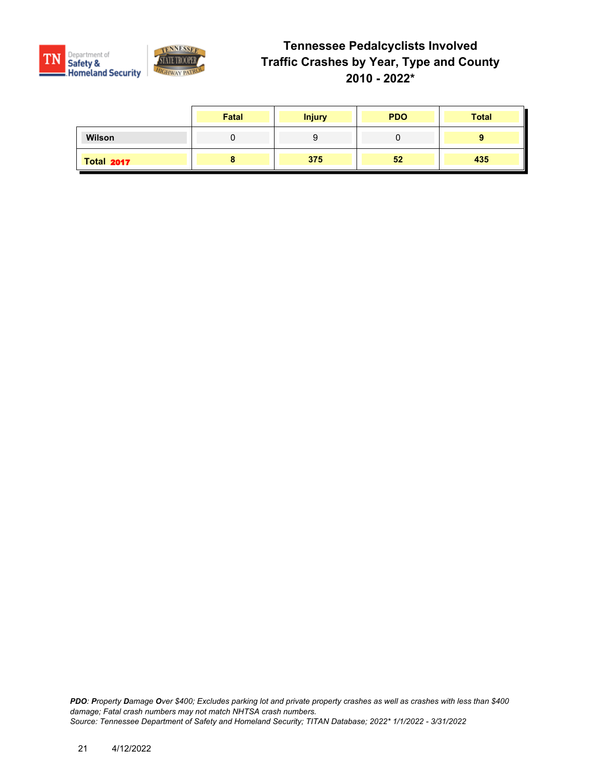

|                   | Fatal | <b>Injury</b> | <b>PDO</b> | <b>Total</b> |
|-------------------|-------|---------------|------------|--------------|
| Wilson            |       |               |            |              |
| <b>Total 2017</b> |       | 375           | 52         | 435          |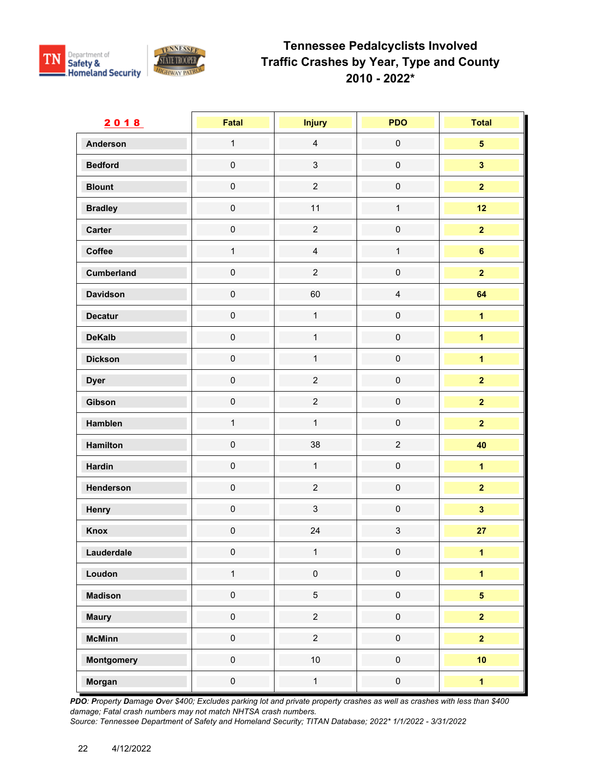

| 2018              | <b>Fatal</b>        | <b>Injury</b>  | <b>PDO</b>          | <b>Total</b>            |
|-------------------|---------------------|----------------|---------------------|-------------------------|
| <b>Anderson</b>   | $\overline{1}$      | $\overline{4}$ | $\mathsf{O}\xspace$ | 5 <sup>5</sup>          |
| <b>Bedford</b>    | $\mathbf 0$         | $\mathfrak{S}$ | $\mathsf{O}\xspace$ | $\mathbf{3}$            |
| <b>Blount</b>     | $\mathbf 0$         | $\overline{2}$ | $\mathsf{O}\xspace$ | $\overline{2}$          |
| <b>Bradley</b>    | $\mathbf 0$         | 11             | $\mathbf{1}$        | 12                      |
| Carter            | $\mathsf{O}\xspace$ | $\overline{2}$ | $\mathsf{O}\xspace$ | $\overline{2}$          |
| Coffee            | $\mathbf{1}$        | $\overline{4}$ | $\mathbf{1}$        | $\bf 6$                 |
| <b>Cumberland</b> | $\pmb{0}$           | $\overline{2}$ | $\mathsf{O}\xspace$ | $\overline{2}$          |
| <b>Davidson</b>   | $\pmb{0}$           | 60             | $\overline{4}$      | 64                      |
| <b>Decatur</b>    | $\pmb{0}$           | $\mathbf{1}$   | $\pmb{0}$           | $\overline{1}$          |
| <b>DeKalb</b>     | $\mathsf{O}\xspace$ | $\mathbf{1}$   | $\mathsf{O}\xspace$ | $\overline{\mathbf{1}}$ |
| <b>Dickson</b>    | $\mathbf 0$         | $\mathbf{1}$   | $\mathsf{O}\xspace$ | $\overline{1}$          |
| <b>Dyer</b>       | $\pmb{0}$           | $\overline{2}$ | $\pmb{0}$           | $\overline{\mathbf{2}}$ |
| Gibson            | $\mathbf 0$         | $\overline{c}$ | $\pmb{0}$           | $\overline{2}$          |
| Hamblen           | $\mathbf{1}$        | $\mathbf{1}$   | $\mathsf{O}\xspace$ | $\overline{2}$          |
| Hamilton          | $\mathbf 0$         | 38             | $\overline{2}$      | 40                      |
| <b>Hardin</b>     | $\mathbf 0$         | $\mathbf{1}$   | $\mathsf{O}\xspace$ | $\overline{\mathbf{1}}$ |
| Henderson         | $\mathbf 0$         | $\overline{2}$ | $\mathsf{O}\xspace$ | $\overline{2}$          |
| Henry             | $\pmb{0}$           | $\mathbf{3}$   | $\pmb{0}$           | $\overline{\mathbf{3}}$ |
| Knox              | $\pmb{0}$           | 24             | $\mathfrak{S}$      | 27                      |
| Lauderdale        | $\mathbf 0$         | $\mathbf{1}$   | $\pmb{0}$           | $\mathbf{1}$            |
| Loudon            | $\mathbf{1}$        | $\pmb{0}$      | $\pmb{0}$           | $\overline{1}$          |
| <b>Madison</b>    | $\pmb{0}$           | $\overline{5}$ | $\mathbf 0$         | 5 <sup>5</sup>          |
| <b>Maury</b>      | $\mathsf{O}\xspace$ | $\overline{2}$ | $\pmb{0}$           | $\overline{2}$          |
| <b>McMinn</b>     | $\pmb{0}$           | $\overline{2}$ | $\pmb{0}$           | $\overline{2}$          |
| <b>Montgomery</b> | $\pmb{0}$           | 10             | $\mathsf{O}\xspace$ | 10                      |
| Morgan            | $\pmb{0}$           | $\mathbf{1}$   | $\mathbf 0$         | $\overline{1}$          |

*PDO: Property Damage Over \$400; Excludes parking lot and private property crashes as well as crashes with less than \$400 damage; Fatal crash numbers may not match NHTSA crash numbers.*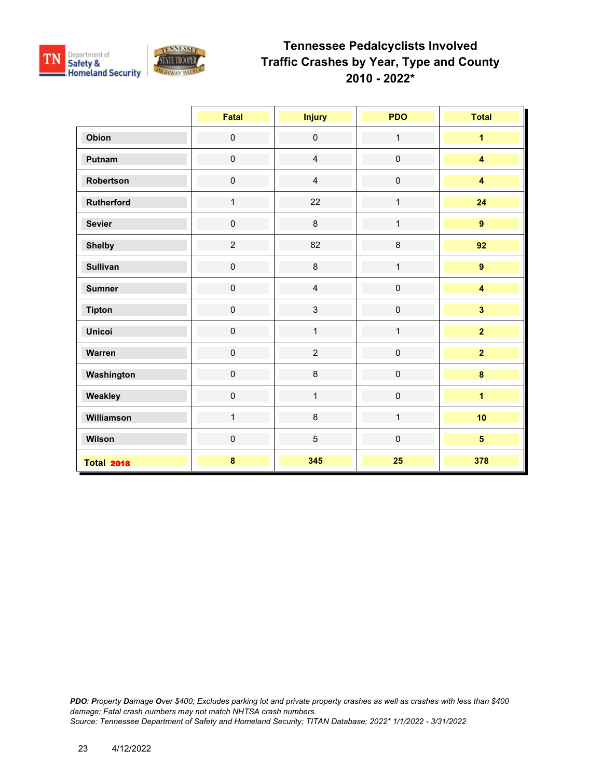

|                   | Fatal          | <b>Injury</b>  | <b>PDO</b>   | <b>Total</b>            |
|-------------------|----------------|----------------|--------------|-------------------------|
| Obion             | $\pmb{0}$      | $\pmb{0}$      | $\mathbf{1}$ | $\overline{\mathbf{1}}$ |
| Putnam            | $\pmb{0}$      | $\overline{4}$ | $\pmb{0}$    | $\overline{\mathbf{4}}$ |
| Robertson         | $\pmb{0}$      | $\overline{4}$ | $\mathbf 0$  | $\overline{\mathbf{4}}$ |
| <b>Rutherford</b> | $\mathbf{1}$   | 22             | $\mathbf{1}$ | 24                      |
| <b>Sevier</b>     | $\pmb{0}$      | $\bf 8$        | $\mathbf{1}$ | $\overline{9}$          |
| <b>Shelby</b>     | $\overline{c}$ | 82             | $\bf 8$      | 92                      |
| <b>Sullivan</b>   | $\pmb{0}$      | 8              | $\mathbf{1}$ | $\overline{9}$          |
| <b>Sumner</b>     | $\pmb{0}$      | $\overline{4}$ | $\mathbf 0$  | $\overline{\mathbf{4}}$ |
| <b>Tipton</b>     | $\pmb{0}$      | $\mathbf{3}$   | $\mathbf 0$  | $\overline{\mathbf{3}}$ |
| <b>Unicoi</b>     | $\mathbf 0$    | $\mathbf{1}$   | $\mathbf{1}$ | $\overline{2}$          |
| Warren            | $\pmb{0}$      | $\overline{2}$ | $\pmb{0}$    | $\overline{2}$          |
| Washington        | $\mathbf 0$    | 8              | $\mathbf 0$  | $\bf{8}$                |
| Weakley           | $\pmb{0}$      | $\mathbf{1}$   | $\pmb{0}$    | $\overline{1}$          |
| Williamson        | $\mathbf{1}$   | $\bf 8$        | $\mathbf{1}$ | 10                      |
| Wilson            | $\pmb{0}$      | $\overline{5}$ | $\mathbf 0$  | $5\phantom{a}$          |
| <b>Total 2018</b> | $\pmb{8}$      | 345            | 25           | 378                     |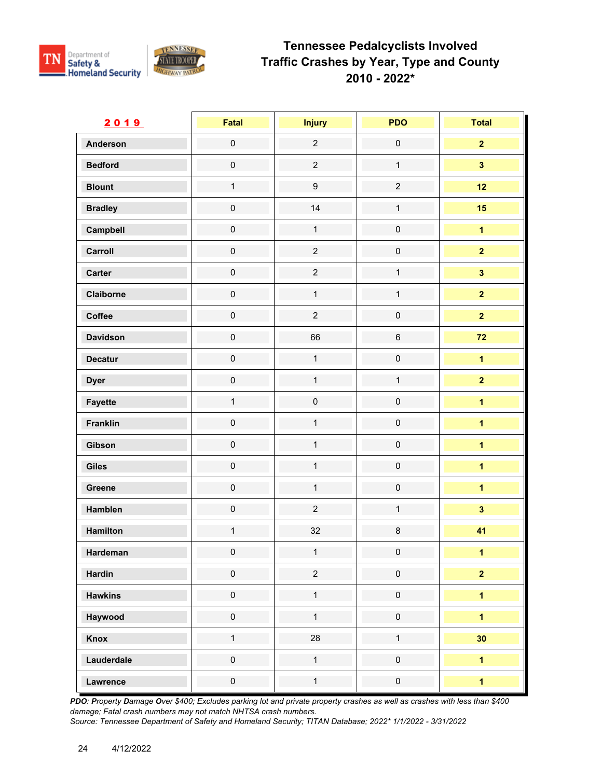

| 2019            | Fatal               | <b>Injury</b>       | <b>PDO</b>          | <b>Total</b>            |
|-----------------|---------------------|---------------------|---------------------|-------------------------|
| <b>Anderson</b> | $\mathsf{O}\xspace$ | $\overline{2}$      | $\mathbf 0$         | $\overline{2}$          |
| <b>Bedford</b>  | $\mathsf{O}\xspace$ | $\overline{c}$      | $\mathbf{1}$        | $\mathbf{3}$            |
| <b>Blount</b>   | $\mathbf{1}$        | $\boldsymbol{9}$    | $\overline{2}$      | 12                      |
| <b>Bradley</b>  | $\mathbf 0$         | 14                  | $\mathbf{1}$        | 15                      |
| Campbell        | $\mathsf{O}\xspace$ | $\mathbf{1}$        | $\pmb{0}$           | $\overline{1}$          |
| Carroll         | $\mathsf{O}\xspace$ | $\overline{c}$      | $\mathbf 0$         | $\overline{2}$          |
| Carter          | $\mathbf 0$         | $\overline{c}$      | $\mathbf{1}$        | $\overline{\mathbf{3}}$ |
| Claiborne       | $\mathsf{O}\xspace$ | $\mathbf 1$         | $\mathbf{1}$        | $\overline{2}$          |
| Coffee          | $\mathbf 0$         | $\overline{2}$      | $\mathbf 0$         | $\overline{2}$          |
| <b>Davidson</b> | $\mathsf{O}\xspace$ | 66                  | $\,6\,$             | $72$                    |
| <b>Decatur</b>  | $\mathsf{O}\xspace$ | $\mathbf 1$         | $\mathsf{O}\xspace$ | $\overline{1}$          |
| <b>Dyer</b>     | $\mathbf 0$         | $\mathbf{1}$        | $\mathbf{1}$        | $\overline{\mathbf{2}}$ |
| Fayette         | $\mathbf{1}$        | $\mathsf{O}\xspace$ | $\mathbf 0$         | $\overline{\mathbf{1}}$ |
| <b>Franklin</b> | $\mathsf{O}\xspace$ | $\mathbf{1}$        | $\mathsf{O}\xspace$ | $\overline{\mathbf{1}}$ |
| Gibson          | $\mathbf 0$         | $\mathbf{1}$        | $\mathsf{O}\xspace$ | $\overline{1}$          |
| Giles           | $\mathsf{O}\xspace$ | $\mathbf{1}$        | $\mathsf{O}\xspace$ | $\overline{1}$          |
| Greene          | $\mathsf{O}\xspace$ | $\mathbf{1}$        | $\mathsf{O}\xspace$ | $\overline{1}$          |
| Hamblen         | $\mathbf 0$         | $\overline{2}$      | $\mathbf{1}$        | $\overline{\mathbf{3}}$ |
| Hamilton        | $\mathbf{1}$        | 32                  | $\bf 8$             | 41                      |
| Hardeman        | $\mathbf 0$         | $\mathbf{1}$        | $\pmb{0}$           | $\overline{1}$          |
| <b>Hardin</b>   | $\mathbf 0$         | $\overline{2}$      | $\pmb{0}$           | $\overline{2}$          |
| <b>Hawkins</b>  | $\mathsf{O}\xspace$ | $\mathbf 1$         | $\mathsf{O}\xspace$ | $\blacksquare$          |
| Haywood         | $\mathsf{O}\xspace$ | $\mathbf{1}$        | $\mathsf{O}\xspace$ | $\overline{1}$          |
| Knox            | $\mathbf{1}$        | 28                  | $\mathbf{1}$        | 30                      |
| Lauderdale      | $\mathsf{O}\xspace$ | $\mathbf{1}$        | $\mathsf{O}\xspace$ | $\overline{1}$          |
| Lawrence        | $\pmb{0}$           | $\mathbf{1}$        | $\mathsf{O}\xspace$ | $\overline{1}$          |

*PDO: Property Damage Over \$400; Excludes parking lot and private property crashes as well as crashes with less than \$400 damage; Fatal crash numbers may not match NHTSA crash numbers.*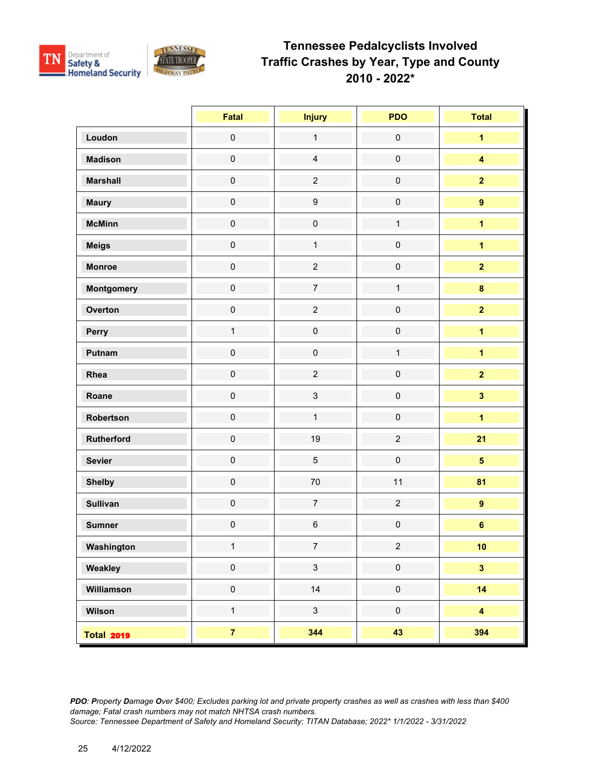

|                   | Fatal               | <b>Injury</b>       | <b>PDO</b>          | <b>Total</b>            |
|-------------------|---------------------|---------------------|---------------------|-------------------------|
| Loudon            | $\mathsf 0$         | $\mathbf{1}$        | $\mathbf 0$         | $\overline{1}$          |
| <b>Madison</b>    | $\mathbf 0$         | $\overline{4}$      | $\mathbf 0$         | $\overline{\mathbf{4}}$ |
| <b>Marshall</b>   | $\mathbf 0$         | $\overline{c}$      | $\mathbf 0$         | $\overline{\mathbf{2}}$ |
| <b>Maury</b>      | $\mathsf{O}\xspace$ | $\boldsymbol{9}$    | $\pmb{0}$           | $\overline{9}$          |
| <b>McMinn</b>     | $\mathbf 0$         | $\mathsf{O}\xspace$ | $\mathbf{1}$        | $\overline{\mathbf{1}}$ |
| <b>Meigs</b>      | $\mathsf{O}\xspace$ | $\mathbf{1}$        | $\pmb{0}$           | $\overline{1}$          |
| <b>Monroe</b>     | $\mathsf 0$         | $\overline{2}$      | $\pmb{0}$           | $\mathbf{2}$            |
| Montgomery        | $\pmb{0}$           | $\overline{7}$      | $\mathbf{1}$        | $\bf{8}$                |
| Overton           | $\mathbf 0$         | $\overline{a}$      | $\mathbf 0$         | $\overline{2}$          |
| Perry             | $\mathbf{1}$        | $\mathbf 0$         | $\pmb{0}$           | $\mathbf{1}$            |
| Putnam            | $\mathsf{O}\xspace$ | $\mathsf{O}\xspace$ | $\mathbf{1}$        | $\overline{\mathbf{1}}$ |
| Rhea              | $\mathsf{O}\xspace$ | $\overline{2}$      | $\pmb{0}$           | $\overline{2}$          |
| Roane             | $\pmb{0}$           | $\mathbf{3}$        | $\pmb{0}$           | $\overline{\mathbf{3}}$ |
| Robertson         | $\mathsf{O}\xspace$ | $\mathbf{1}$        | $\pmb{0}$           | $\overline{\mathbf{1}}$ |
| Rutherford        | $\pmb{0}$           | 19                  | $\overline{2}$      | 21                      |
| <b>Sevier</b>     | $\pmb{0}$           | $\sqrt{5}$          | $\pmb{0}$           | $\overline{\mathbf{5}}$ |
| <b>Shelby</b>     | $\mathbf 0$         | $70\,$              | 11                  | 81                      |
| <b>Sullivan</b>   | $\mathsf{O}\xspace$ | $\overline{7}$      | $\overline{2}$      | $\overline{9}$          |
| <b>Sumner</b>     | $\mathsf{O}\xspace$ | $\,6\,$             | $\pmb{0}$           | $\bf 6$                 |
| Washington        | $\mathbf{1}$        | $\overline{7}$      | $\overline{c}$      | 10 <sub>1</sub>         |
| Weakley           | $\pmb{0}$           | $\mathbf{3}$        | $\mathsf{O}\xspace$ | $\overline{\mathbf{3}}$ |
| Williamson        | $\pmb{0}$           | 14                  | $\mathsf{O}\xspace$ | 14                      |
| Wilson            | $\mathbf{1}$        | $\mathbf{3}$        | $\pmb{0}$           | $\overline{\mathbf{4}}$ |
| <b>Total 2019</b> | $\overline{7}$      | 344                 | 43                  | 394                     |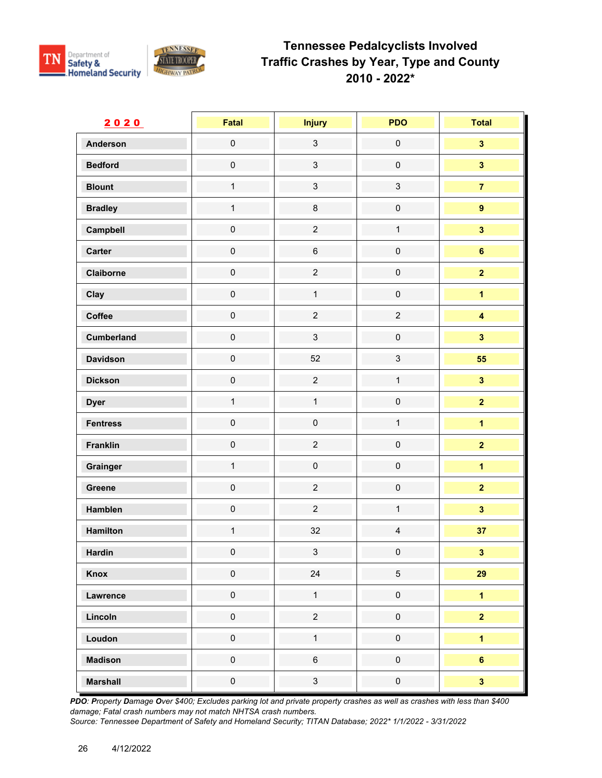

| 2020              | <b>Fatal</b>        | <b>Injury</b>       | <b>PDO</b>                | <b>Total</b>            |
|-------------------|---------------------|---------------------|---------------------------|-------------------------|
| <b>Anderson</b>   | $\mathsf{O}\xspace$ | $\mathbf{3}$        | $\mathsf{O}\xspace$       | $\overline{\mathbf{3}}$ |
| <b>Bedford</b>    | $\mathsf{O}\xspace$ | $\mathbf{3}$        | $\mathsf{O}\xspace$       | $\overline{\mathbf{3}}$ |
| <b>Blount</b>     | $\mathbf{1}$        | $\mathbf{3}$        | $\mathfrak{S}$            | $\overline{7}$          |
| <b>Bradley</b>    | $\mathbf{1}$        | $\bf 8$             | $\mathsf{O}\xspace$       | $\overline{9}$          |
| Campbell          | $\mathsf{O}\xspace$ | $\overline{2}$      | $\mathbf{1}$              | $\overline{\mathbf{3}}$ |
| Carter            | $\mathbf 0$         | $\,6\,$             | $\pmb{0}$                 | $\bf 6$                 |
| Claiborne         | $\mathbf 0$         | $\overline{2}$      | $\mathsf{O}\xspace$       | $\overline{2}$          |
| Clay              | $\mathbf 0$         | $\mathbf 1$         | $\mathsf{O}\xspace$       | $\overline{1}$          |
| Coffee            | $\mathbf 0$         | $\overline{2}$      | $\overline{c}$            | $\overline{\mathbf{4}}$ |
| <b>Cumberland</b> | $\mathsf{O}\xspace$ | $\mathbf{3}$        | $\mathsf{O}\xspace$       | $\overline{\mathbf{3}}$ |
| <b>Davidson</b>   | $\mathsf{O}\xspace$ | 52                  | $\ensuremath{\mathsf{3}}$ | 55                      |
| <b>Dickson</b>    | $\mathbf 0$         | $\overline{c}$      | $\mathbf{1}$              | $\overline{\mathbf{3}}$ |
| <b>Dyer</b>       | $\mathbf{1}$        | $\mathbf{1}$        | $\mathbf 0$               | $\overline{2}$          |
| <b>Fentress</b>   | $\mathbf 0$         | $\mathbf 0$         | $\mathbf{1}$              | $\overline{1}$          |
| <b>Franklin</b>   | $\mathsf{O}\xspace$ | $\overline{c}$      | $\mathsf 0$               | $\overline{2}$          |
| Grainger          | $\mathbf{1}$        | $\mathsf{O}\xspace$ | $\mathsf{O}\xspace$       | $\overline{1}$          |
| Greene            | $\mathsf{O}\xspace$ | $\overline{2}$      | $\mathsf{O}\xspace$       | $\overline{2}$          |
| Hamblen           | $\mathsf{O}\xspace$ | $\overline{2}$      | $\mathbf{1}$              | $\overline{\mathbf{3}}$ |
| Hamilton          | $\mathbf{1}$        | 32                  | $\overline{\mathbf{4}}$   | 37                      |
| <b>Hardin</b>     | $\pmb{0}$           | $\mathbf{3}$        | $\pmb{0}$                 | $\mathbf{3}$            |
| Knox              | $\pmb{0}$           | 24                  | $\sqrt{5}$                | 29                      |
| Lawrence          | $\pmb{0}$           | $\mathbf 1$         | $\mathsf{O}\xspace$       | $\mathbf 1$             |
| Lincoln           | $\mathsf{O}\xspace$ | $\overline{2}$      | $\mathsf{O}\xspace$       | $\overline{\mathbf{2}}$ |
| Loudon            | $\mathbf 0$         | $\mathbf{1}$        | $\mathsf{O}\xspace$       | $\overline{1}$          |
| <b>Madison</b>    | $\mathbf 0$         | $\,6\,$             | $\mathsf{O}\xspace$       | $6\phantom{a}$          |
| <b>Marshall</b>   | $\pmb{0}$           | $\mathbf{3}$        | $\pmb{0}$                 | $\overline{\mathbf{3}}$ |

*PDO: Property Damage Over \$400; Excludes parking lot and private property crashes as well as crashes with less than \$400 damage; Fatal crash numbers may not match NHTSA crash numbers.*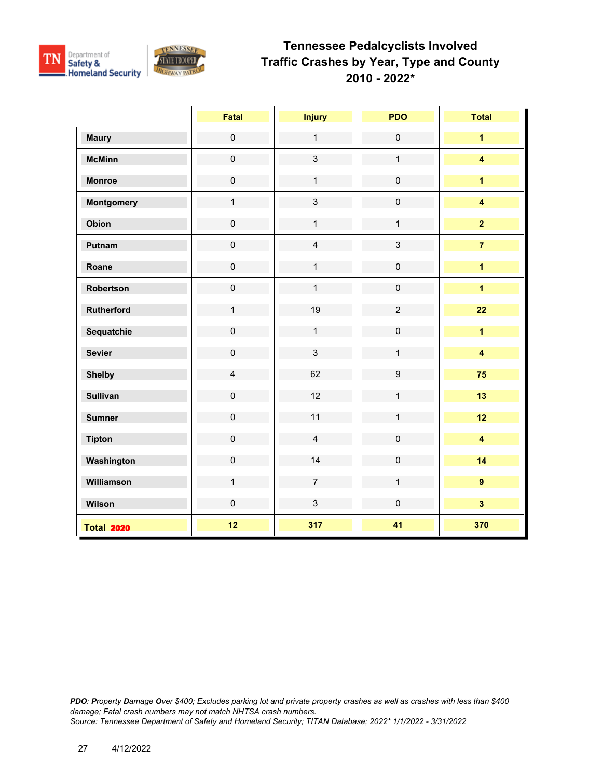

|                   | Fatal               | <b>Injury</b>  | <b>PDO</b>       | <b>Total</b>            |
|-------------------|---------------------|----------------|------------------|-------------------------|
| <b>Maury</b>      | $\mathsf{O}\xspace$ | $\mathbf{1}$   | $\pmb{0}$        | $\overline{1}$          |
| <b>McMinn</b>     | $\pmb{0}$           | $\mathbf{3}$   | $\mathbf{1}$     | $\overline{\mathbf{4}}$ |
| <b>Monroe</b>     | $\mathsf{O}\xspace$ | $\mathbf{1}$   | $\pmb{0}$        | $\overline{1}$          |
| <b>Montgomery</b> | $\mathbf{1}$        | $\mathbf{3}$   | $\pmb{0}$        | $\overline{\mathbf{4}}$ |
| Obion             | $\mathsf{O}\xspace$ | $\mathbf{1}$   | $\mathbf{1}$     | $\overline{2}$          |
| Putnam            | $\mathsf{O}\xspace$ | $\overline{4}$ | $\mathbf{3}$     | $\overline{7}$          |
| Roane             | $\pmb{0}$           | $\mathbf{1}$   | $\pmb{0}$        | $\overline{1}$          |
| Robertson         | $\pmb{0}$           | $\mathbf{1}$   | $\pmb{0}$        | $\overline{1}$          |
| <b>Rutherford</b> | $\mathbf{1}$        | 19             | $\overline{2}$   | 22                      |
| Sequatchie        | $\pmb{0}$           | $\mathbf{1}$   | $\pmb{0}$        | $\overline{1}$          |
| <b>Sevier</b>     | $\pmb{0}$           | $\mathbf{3}$   | $\mathbf{1}$     | $\overline{\mathbf{4}}$ |
| <b>Shelby</b>     | $\overline{4}$      | 62             | $\boldsymbol{9}$ | 75                      |
| <b>Sullivan</b>   | $\mathsf{O}\xspace$ | 12             | $\mathbf{1}$     | 13                      |
| <b>Sumner</b>     | $\pmb{0}$           | 11             | $\mathbf{1}$     | 12                      |
| <b>Tipton</b>     | $\mathsf 0$         | $\overline{4}$ | $\pmb{0}$        | $\overline{\mathbf{4}}$ |
| Washington        | $\pmb{0}$           | 14             | $\pmb{0}$        | 14                      |
| Williamson        | $\mathbf{1}$        | $\overline{7}$ | $\mathbf{1}$     | $\overline{9}$          |
| Wilson            | $\mathsf{O}\xspace$ | $\mathbf{3}$   | $\pmb{0}$        | $\overline{\mathbf{3}}$ |
| <b>Total 2020</b> | 12                  | 317            | 41               | 370                     |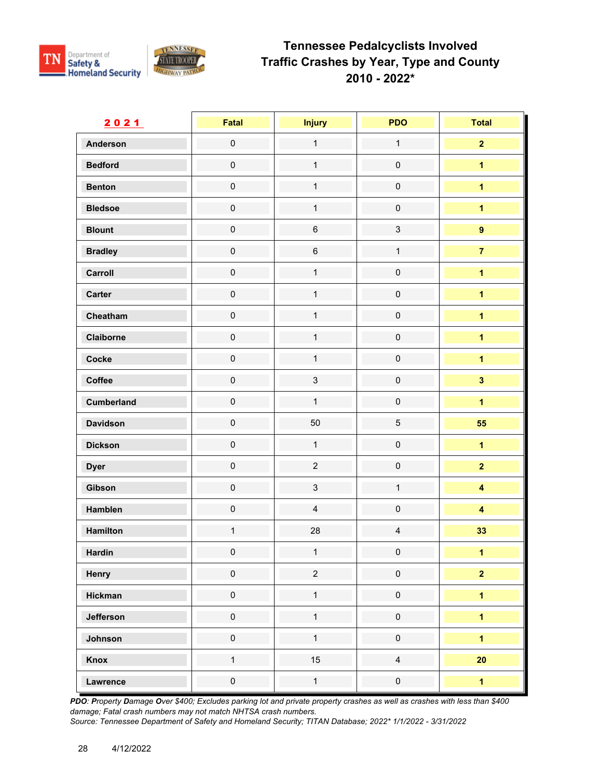

| 2021            | Fatal               | <b>Injury</b>  | <b>PDO</b>          | <b>Total</b>            |
|-----------------|---------------------|----------------|---------------------|-------------------------|
| <b>Anderson</b> | $\mathbf 0$         | $\mathbf{1}$   | $\mathbf{1}$        | $\overline{2}$          |
| <b>Bedford</b>  | $\mathbf 0$         | $\mathbf{1}$   | $\mathsf{O}\xspace$ | $\overline{1}$          |
| <b>Benton</b>   | $\pmb{0}$           | $\mathbf{1}$   | $\pmb{0}$           | $\overline{1}$          |
| <b>Bledsoe</b>  | $\mathsf{O}\xspace$ | $\mathbf{1}$   | $\mathsf{O}\xspace$ | $\overline{1}$          |
| <b>Blount</b>   | $\mathbf 0$         | $\,6\,$        | $\mathfrak{S}$      | $\pmb{9}$               |
| <b>Bradley</b>  | $\pmb{0}$           | $\,6$          | $\mathbf{1}$        | $\overline{7}$          |
| Carroll         | $\mathbf 0$         | $\mathbf{1}$   | $\mathbf 0$         | $\overline{\mathbf{1}}$ |
| Carter          | $\mathbf 0$         | $\mathbf{1}$   | $\mathsf{O}\xspace$ | $\overline{1}$          |
| Cheatham        | $\mathbf 0$         | $\mathbf{1}$   | $\mathsf{O}\xspace$ | $\overline{1}$          |
| Claiborne       | $\mathbf 0$         | $\mathbf{1}$   | $\mathsf{O}\xspace$ | $\overline{1}$          |
| Cocke           | $\mathbf 0$         | $\mathbf{1}$   | $\mathbf 0$         | $\overline{1}$          |
| Coffee          | $\mathbf 0$         | $\mathfrak{S}$ | $\mathbf 0$         | $\overline{\mathbf{3}}$ |
| Cumberland      | $\mathbf 0$         | $\mathbf{1}$   | $\pmb{0}$           | $\overline{\mathbf{1}}$ |
| <b>Davidson</b> | $\pmb{0}$           | 50             | 5                   | 55                      |
| <b>Dickson</b>  | $\mathbf 0$         | $\mathbf{1}$   | $\mathsf{O}\xspace$ | $\overline{1}$          |
| <b>Dyer</b>     | $\mathbf 0$         | $\overline{c}$ | $\pmb{0}$           | $\overline{2}$          |
| Gibson          | $\mathbf 0$         | $\mathbf{3}$   | $\mathbf{1}$        | $\overline{\mathbf{4}}$ |
| Hamblen         | $\pmb{0}$           | $\overline{4}$ | $\pmb{0}$           | $\overline{\mathbf{4}}$ |
| Hamilton        | $\mathbf{1}$        | 28             | $\overline{4}$      | 33                      |
| <b>Hardin</b>   | $\pmb{0}$           | $\mathbf{1}$   | $\pmb{0}$           | $\mathbf 1$             |
| Henry           | $\mathsf{O}\xspace$ | $\overline{2}$ | $\mathbf 0$         | $\overline{\mathbf{2}}$ |
| Hickman         | $\mathbf 0$         | $\mathbf{1}$   | $\mathbf 0$         | $\overline{1}$          |
| Jefferson       | $\pmb{0}$           | $\mathbf{1}$   | $\pmb{0}$           | $\overline{1}$          |
| Johnson         | $\pmb{0}$           | $\mathbf{1}$   | $\pmb{0}$           | $\overline{1}$          |
| Knox            | $\mathbf{1}$        | 15             | $\overline{4}$      | 20                      |
| Lawrence        | $\pmb{0}$           | $\mathbf{1}$   | $\mathbf 0$         | $\overline{1}$          |

*PDO: Property Damage Over \$400; Excludes parking lot and private property crashes as well as crashes with less than \$400 damage; Fatal crash numbers may not match NHTSA crash numbers.*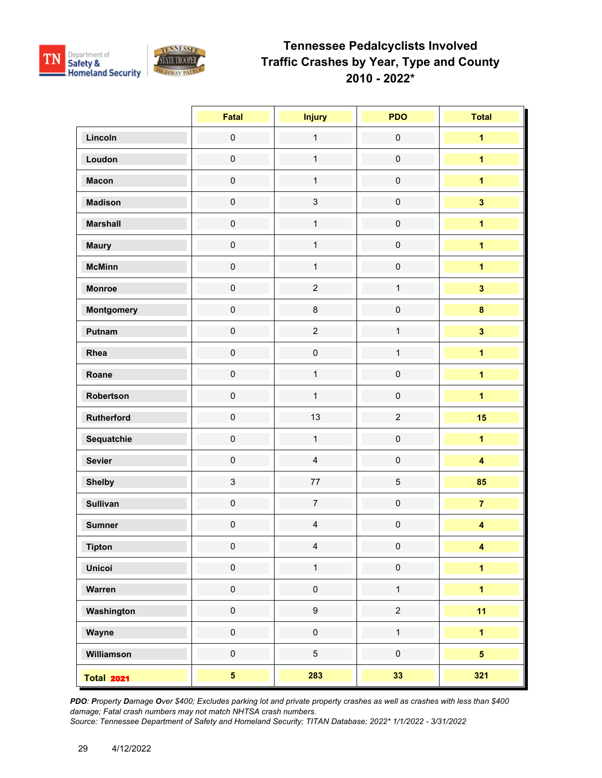

|                   | Fatal                   | <b>Injury</b>    | <b>PDO</b>          | <b>Total</b>            |
|-------------------|-------------------------|------------------|---------------------|-------------------------|
| Lincoln           | $\pmb{0}$               | $\mathbf{1}$     | $\mathbf 0$         | $\overline{1}$          |
| Loudon            | $\mathsf{O}\xspace$     | $\mathbf{1}$     | $\mathsf{O}\xspace$ | $\overline{\mathbf{1}}$ |
| <b>Macon</b>      | $\mathsf{O}\xspace$     | $\mathbf{1}$     | $\mathsf{O}\xspace$ | $\overline{\mathbf{1}}$ |
| <b>Madison</b>    | $\mathsf{O}\xspace$     | $\mathbf{3}$     | $\mathsf{O}\xspace$ | $\overline{\mathbf{3}}$ |
| <b>Marshall</b>   | $\mathsf{O}\xspace$     | $\mathbf{1}$     | $\pmb{0}$           | $\overline{1}$          |
| <b>Maury</b>      | $\mathsf{O}\xspace$     | $\mathbf{1}$     | $\mathbf 0$         | $\overline{\mathbf{1}}$ |
| <b>McMinn</b>     | $\mathsf{O}\xspace$     | $\mathbf{1}$     | $\mathbf 0$         | $\overline{1}$          |
| <b>Monroe</b>     | $\mathsf{O}\xspace$     | $\overline{c}$   | $\mathbf{1}$        | $\overline{\mathbf{3}}$ |
| Montgomery        | $\mathsf{O}\xspace$     | $\bf 8$          | $\mathsf{O}\xspace$ | $\bf{8}$                |
| Putnam            | $\mathsf{O}\xspace$     | $\overline{2}$   | $\mathbf{1}$        | $\overline{\mathbf{3}}$ |
| Rhea              | $\mathsf{O}\xspace$     | $\mathbf 0$      | $\mathbf{1}$        | $\overline{\mathbf{1}}$ |
| Roane             | $\mathsf{O}\xspace$     | $\mathbf{1}$     | $\pmb{0}$           | $\overline{1}$          |
| Robertson         | $\mathbf 0$             | $\mathbf{1}$     | $\mathsf 0$         | $\overline{1}$          |
| Rutherford        | $\mathbf 0$             | 13               | $\overline{c}$      | 15                      |
| Sequatchie        | $\mathbf 0$             | $\mathbf{1}$     | $\mathbf 0$         | $\overline{1}$          |
| <b>Sevier</b>     | $\mathsf{O}\xspace$     | $\overline{4}$   | $\mathsf{O}\xspace$ | $\overline{\mathbf{4}}$ |
| <b>Shelby</b>     | $\mathfrak{S}$          | $77\,$           | $\overline{5}$      | 85                      |
| <b>Sullivan</b>   | $\mathsf{O}\xspace$     | $\overline{7}$   | $\mathbf 0$         | $\overline{7}$          |
| <b>Sumner</b>     | $\pmb{0}$               | $\overline{4}$   | $\mathbf 0$         | $\overline{\mathbf{4}}$ |
| <b>Tipton</b>     | $\mathbf 0$             | $\overline{4}$   | $\pmb{0}$           | $\overline{\mathbf{4}}$ |
| <b>Unicoi</b>     | $\pmb{0}$               | $\mathbf{1}$     | $\mathsf{O}\xspace$ | $\blacksquare$          |
| Warren            | $\mathbf 0$             | $\pmb{0}$        | $\mathbf{1}$        | $\overline{\mathbf{1}}$ |
| Washington        | $\mathbf 0$             | $\boldsymbol{9}$ | $\overline{2}$      | 11                      |
| Wayne             | $\mathbf 0$             | $\pmb{0}$        | $\mathbf{1}$        | $\overline{1}$          |
| Williamson        | $\mathbf 0$             | $\overline{5}$   | $\mathsf{O}\xspace$ | $5\overline{)}$         |
| <b>Total 2021</b> | $\overline{\mathbf{5}}$ | 283              | 33                  | 321                     |

*PDO: Property Damage Over \$400; Excludes parking lot and private property crashes as well as crashes with less than \$400 damage; Fatal crash numbers may not match NHTSA crash numbers.*